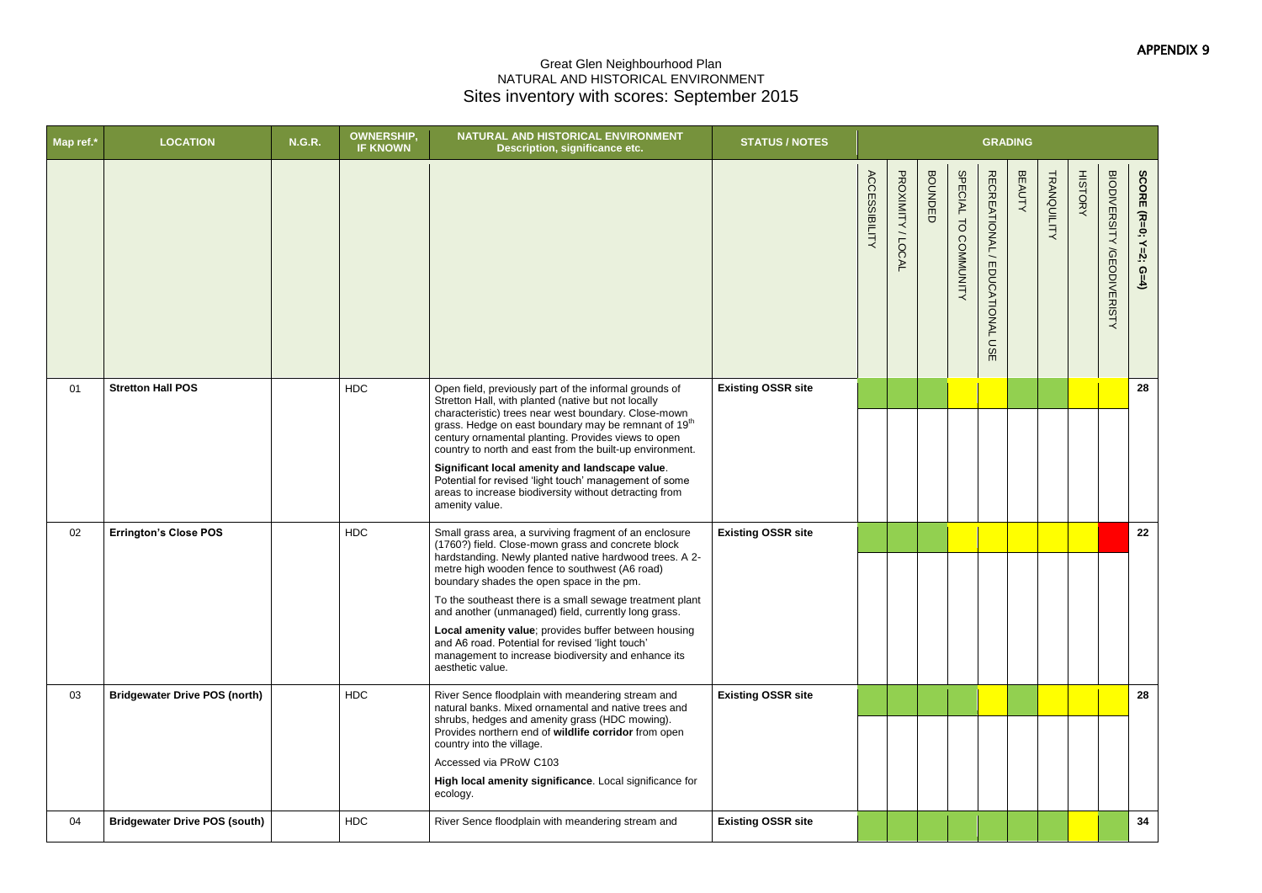## APPENDIX 9

## Great Glen Neighbourhood Plan NATURAL AND HISTORICAL ENVIRONMENT Sites inventory with scores: September 2015

|                      | GRADING                        |               |                    |                |                            |                       |
|----------------------|--------------------------------|---------------|--------------------|----------------|----------------------------|-----------------------|
| SPECIAL TO COMMUNITY | RECREATIONAL / EDUCATIONAL USE | <b>BEAUTY</b> | <b>TRANQUILITY</b> | <b>HISTORY</b> | BIODIVERSITY /GEODIVERISTY | SCORE (R=0; Y=2; G=4) |
|                      |                                |               |                    |                |                            | 28                    |
|                      |                                |               |                    |                |                            |                       |
|                      |                                |               |                    |                |                            | 22                    |
|                      |                                |               |                    |                |                            |                       |
|                      |                                |               |                    |                |                            | 28                    |
|                      |                                |               |                    |                |                            |                       |
|                      |                                |               |                    |                |                            | 34                    |

| Map ref.* | <b>LOCATION</b>                      | <b>N.G.R.</b> | <b>OWNERSHIP,</b><br><b>IF KNOWN</b> | NATURAL AND HISTORICAL ENVIRONMENT<br>Description, significance etc.                                                                                                                                                                                                                                                                                                                                                                                                                                                                                                              | <b>STATUS / NOTES</b>     |                      |                   |                |                      | <b>GRADING</b>                            |               |                    |                |                                             |    |
|-----------|--------------------------------------|---------------|--------------------------------------|-----------------------------------------------------------------------------------------------------------------------------------------------------------------------------------------------------------------------------------------------------------------------------------------------------------------------------------------------------------------------------------------------------------------------------------------------------------------------------------------------------------------------------------------------------------------------------------|---------------------------|----------------------|-------------------|----------------|----------------------|-------------------------------------------|---------------|--------------------|----------------|---------------------------------------------|----|
|           |                                      |               |                                      |                                                                                                                                                                                                                                                                                                                                                                                                                                                                                                                                                                                   |                           | <b>ACCESSIBILITY</b> | PROXIMITY / LOCAL | <b>BOUNDED</b> | SPECIAL TO COMMUNITY | RECREATIONAL<br>EDUCATIONAL<br><b>USE</b> | <b>BEAUTY</b> | <b>TRANQUILITY</b> | <b>HISTORY</b> | <b>BIODIVERSITY</b><br><b>/GEODIVERISTY</b> | ے۔ |
| 01        | <b>Stretton Hall POS</b>             |               | <b>HDC</b>                           | Open field, previously part of the informal grounds of<br>Stretton Hall, with planted (native but not locally<br>characteristic) trees near west boundary. Close-mown<br>grass. Hedge on east boundary may be remnant of 19 <sup>th</sup><br>century ornamental planting. Provides views to open<br>country to north and east from the built-up environment.<br>Significant local amenity and landscape value.<br>Potential for revised 'light touch' management of some<br>areas to increase biodiversity without detracting from<br>amenity value.                              | <b>Existing OSSR site</b> |                      |                   |                |                      |                                           |               |                    |                |                                             | 28 |
| 02        | <b>Errington's Close POS</b>         |               | <b>HDC</b>                           | Small grass area, a surviving fragment of an enclosure<br>(1760?) field. Close-mown grass and concrete block<br>hardstanding. Newly planted native hardwood trees. A 2-<br>metre high wooden fence to southwest (A6 road)<br>boundary shades the open space in the pm.<br>To the southeast there is a small sewage treatment plant<br>and another (unmanaged) field, currently long grass.<br>Local amenity value; provides buffer between housing<br>and A6 road. Potential for revised 'light touch'<br>management to increase biodiversity and enhance its<br>aesthetic value. | <b>Existing OSSR site</b> |                      |                   |                |                      |                                           |               |                    |                |                                             | 22 |
| 03        | <b>Bridgewater Drive POS (north)</b> |               | <b>HDC</b>                           | River Sence floodplain with meandering stream and<br>natural banks. Mixed ornamental and native trees and<br>shrubs, hedges and amenity grass (HDC mowing).<br>Provides northern end of wildlife corridor from open<br>country into the village.<br>Accessed via PRoW C103<br>High local amenity significance. Local significance for<br>ecology.                                                                                                                                                                                                                                 | <b>Existing OSSR site</b> |                      |                   |                |                      |                                           |               |                    |                |                                             | 28 |
| 04        | <b>Bridgewater Drive POS (south)</b> |               | <b>HDC</b>                           | River Sence floodplain with meandering stream and                                                                                                                                                                                                                                                                                                                                                                                                                                                                                                                                 | <b>Existing OSSR site</b> |                      |                   |                |                      |                                           |               |                    |                |                                             | 34 |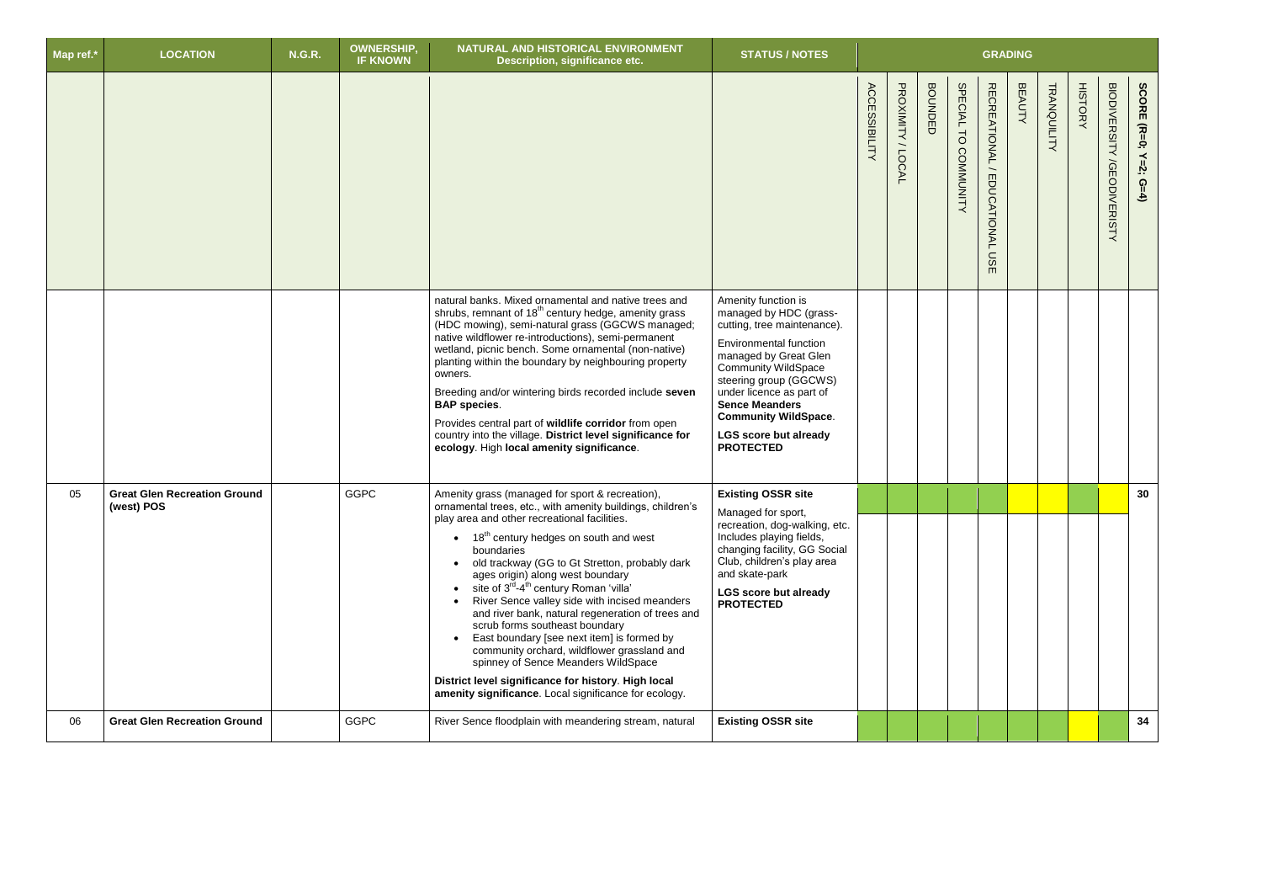| Map ref.* | <b>LOCATION</b>                                   | <b>N.G.R.</b> | <b>OWNERSHIP,</b><br><b>IF KNOWN</b> | NATURAL AND HISTORICAL ENVIRONMENT<br>Description, significance etc.                                                                                                                                                                                                                                                                                                                                                                                                                                                                                                                                                                                                                                                                                                                                                     | <b>STATUS / NOTES</b>                                                                                                                                                                                                                                                                                                                  |                      |                    |                         |                                |                                                                              | <b>GRADING</b> |             |               |                                             |                       |
|-----------|---------------------------------------------------|---------------|--------------------------------------|--------------------------------------------------------------------------------------------------------------------------------------------------------------------------------------------------------------------------------------------------------------------------------------------------------------------------------------------------------------------------------------------------------------------------------------------------------------------------------------------------------------------------------------------------------------------------------------------------------------------------------------------------------------------------------------------------------------------------------------------------------------------------------------------------------------------------|----------------------------------------------------------------------------------------------------------------------------------------------------------------------------------------------------------------------------------------------------------------------------------------------------------------------------------------|----------------------|--------------------|-------------------------|--------------------------------|------------------------------------------------------------------------------|----------------|-------------|---------------|---------------------------------------------|-----------------------|
|           |                                                   |               |                                      |                                                                                                                                                                                                                                                                                                                                                                                                                                                                                                                                                                                                                                                                                                                                                                                                                          |                                                                                                                                                                                                                                                                                                                                        | <b>ACCESSIBILITY</b> | PROXIMITY<br>LOCAL | <b>BOUNDE</b><br>$\Box$ | SPECIAL TO<br><b>COMMUNITY</b> | <b>RECREATIONAL</b><br>$\overline{\phantom{0}}$<br><b>EDUCATIONAL</b><br>USE | <b>BEAUTY</b>  | TRANQUILITY | <b>HISTOR</b> | <b>BIODIVERSITY</b><br><b>/GEODIVERISTY</b> | SCORE (R=0; Y=2; G=4) |
|           |                                                   |               |                                      | natural banks. Mixed ornamental and native trees and<br>shrubs, remnant of 18 <sup>th</sup> century hedge, amenity grass<br>(HDC mowing), semi-natural grass (GGCWS managed;<br>native wildflower re-introductions), semi-permanent<br>wetland, picnic bench. Some ornamental (non-native)<br>planting within the boundary by neighbouring property<br>owners.<br>Breeding and/or wintering birds recorded include seven<br><b>BAP</b> species.<br>Provides central part of wildlife corridor from open<br>country into the village. District level significance for<br>ecology. High local amenity significance.                                                                                                                                                                                                        | Amenity function is<br>managed by HDC (grass-<br>cutting, tree maintenance).<br><b>Environmental function</b><br>managed by Great Glen<br><b>Community WildSpace</b><br>steering group (GGCWS)<br>under licence as part of<br><b>Sence Meanders</b><br><b>Community WildSpace.</b><br><b>LGS score but already</b><br><b>PROTECTED</b> |                      |                    |                         |                                |                                                                              |                |             |               |                                             |                       |
| 05        | <b>Great Glen Recreation Ground</b><br>(west) POS |               | <b>GGPC</b>                          | Amenity grass (managed for sport & recreation),<br>ornamental trees, etc., with amenity buildings, children's<br>play area and other recreational facilities.<br>$\bullet$ 18 <sup>th</sup> century hedges on south and west<br>boundaries<br>old trackway (GG to Gt Stretton, probably dark<br>$\bullet$<br>ages origin) along west boundary<br>site of 3 <sup>rd</sup> -4 <sup>th</sup> century Roman 'villa'<br>$\bullet$<br>River Sence valley side with incised meanders<br>and river bank, natural regeneration of trees and<br>scrub forms southeast boundary<br>East boundary [see next item] is formed by<br>community orchard, wildflower grassland and<br>spinney of Sence Meanders WildSpace<br>District level significance for history. High local<br>amenity significance. Local significance for ecology. | <b>Existing OSSR site</b><br>Managed for sport,<br>recreation, dog-walking, etc.<br>Includes playing fields,<br>changing facility, GG Social<br>Club, children's play area<br>and skate-park<br><b>LGS score but already</b><br><b>PROTECTED</b>                                                                                       |                      |                    |                         |                                |                                                                              |                |             |               |                                             | 30                    |
| 06        | <b>Great Glen Recreation Ground</b>               |               | <b>GGPC</b>                          | River Sence floodplain with meandering stream, natural                                                                                                                                                                                                                                                                                                                                                                                                                                                                                                                                                                                                                                                                                                                                                                   | <b>Existing OSSR site</b>                                                                                                                                                                                                                                                                                                              |                      |                    |                         |                                |                                                                              |                |             |               |                                             | 34                    |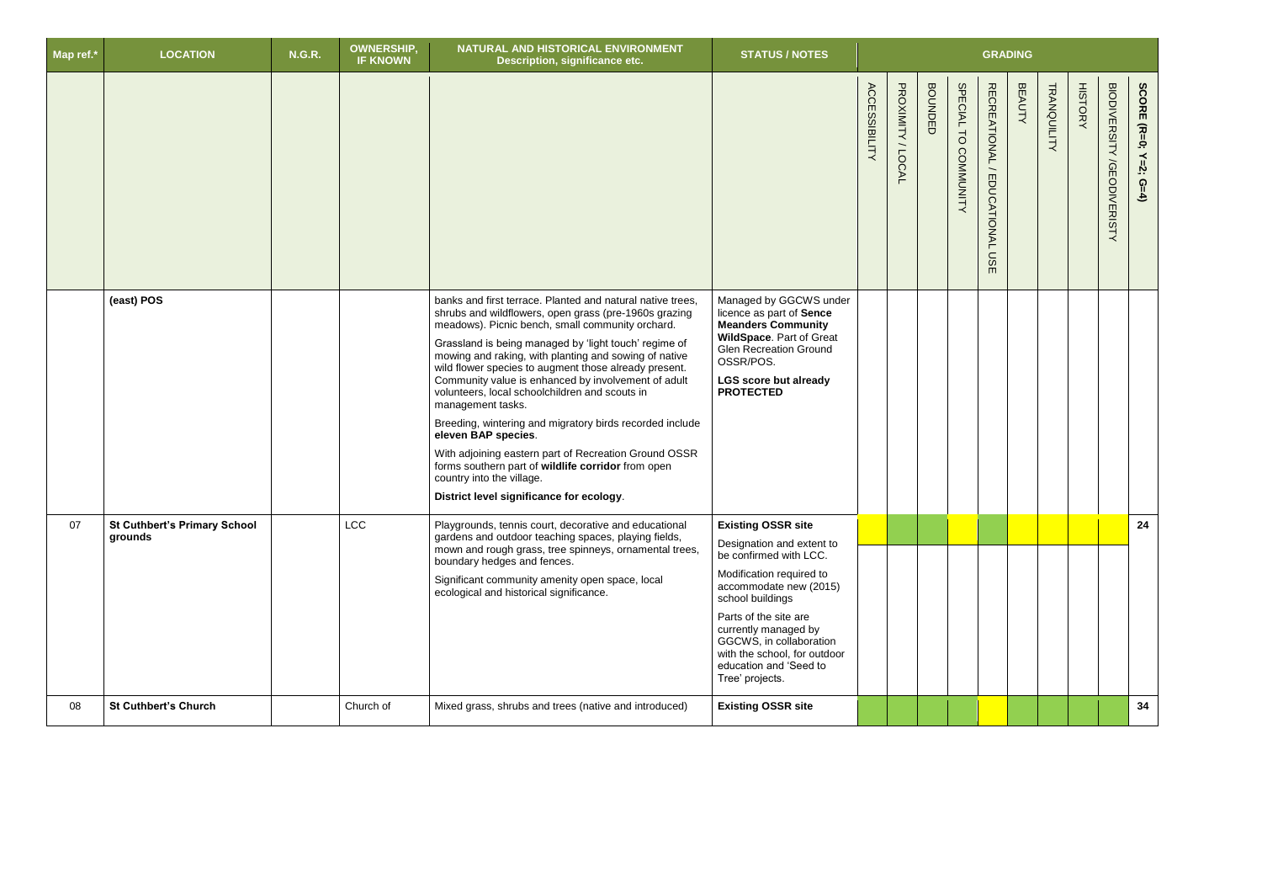| Map ref.* | <b>LOCATION</b>                                | <b>N.G.R.</b> | <b>OWNERSHIP,</b><br><b>IF KNOWN</b> | NATURAL AND HISTORICAL ENVIRONMENT<br>Description, significance etc.                                                                                                                                                                                                                                                                                                                                                                                                                                                                                                                                                                                                                                                                                        | <b>STATUS / NOTES</b>                                                                                                                                                                                                                                                                                               |                      |                   |                |                      |                                                   | <b>GRADING</b> |             |                |                                             |                       |
|-----------|------------------------------------------------|---------------|--------------------------------------|-------------------------------------------------------------------------------------------------------------------------------------------------------------------------------------------------------------------------------------------------------------------------------------------------------------------------------------------------------------------------------------------------------------------------------------------------------------------------------------------------------------------------------------------------------------------------------------------------------------------------------------------------------------------------------------------------------------------------------------------------------------|---------------------------------------------------------------------------------------------------------------------------------------------------------------------------------------------------------------------------------------------------------------------------------------------------------------------|----------------------|-------------------|----------------|----------------------|---------------------------------------------------|----------------|-------------|----------------|---------------------------------------------|-----------------------|
|           |                                                |               |                                      |                                                                                                                                                                                                                                                                                                                                                                                                                                                                                                                                                                                                                                                                                                                                                             |                                                                                                                                                                                                                                                                                                                     | <b>ACCESSIBILITY</b> | PROXIMITY / LOCAL | <b>BOUNDED</b> | SPECIAL TO COMMUNITY | RECREATIONAL/<br><b>EDUCATIONAL</b><br><b>USE</b> | <b>BEAUTY</b>  | TRANQUILITY | <b>HISTORY</b> | <b>BIODIVERSITY</b><br><b>/GEODIVERISTY</b> | SCORE (R=0; Y=2; G=4) |
|           | (east) POS                                     |               |                                      | banks and first terrace. Planted and natural native trees,<br>shrubs and wildflowers, open grass (pre-1960s grazing<br>meadows). Picnic bench, small community orchard.<br>Grassland is being managed by 'light touch' regime of<br>mowing and raking, with planting and sowing of native<br>wild flower species to augment those already present.<br>Community value is enhanced by involvement of adult<br>volunteers, local schoolchildren and scouts in<br>management tasks.<br>Breeding, wintering and migratory birds recorded include<br>eleven BAP species.<br>With adjoining eastern part of Recreation Ground OSSR<br>forms southern part of wildlife corridor from open<br>country into the village.<br>District level significance for ecology. | Managed by GGCWS under<br>licence as part of Sence<br><b>Meanders Community</b><br>WildSpace. Part of Great<br><b>Glen Recreation Ground</b><br>OSSR/POS.<br><b>LGS score but already</b><br><b>PROTECTED</b>                                                                                                       |                      |                   |                |                      |                                                   |                |             |                |                                             |                       |
| 07        | <b>St Cuthbert's Primary School</b><br>grounds |               | <b>LCC</b>                           | Playgrounds, tennis court, decorative and educational<br>gardens and outdoor teaching spaces, playing fields,<br>mown and rough grass, tree spinneys, ornamental trees,<br>boundary hedges and fences.<br>Significant community amenity open space, local<br>ecological and historical significance.                                                                                                                                                                                                                                                                                                                                                                                                                                                        | <b>Existing OSSR site</b><br>Designation and extent to<br>be confirmed with LCC.<br>Modification required to<br>accommodate new (2015)<br>school buildings<br>Parts of the site are<br>currently managed by<br>GGCWS, in collaboration<br>with the school, for outdoor<br>education and 'Seed to<br>Tree' projects. |                      |                   |                |                      |                                                   |                |             |                |                                             | 24                    |
| 08        | <b>St Cuthbert's Church</b>                    |               | Church of                            | Mixed grass, shrubs and trees (native and introduced)                                                                                                                                                                                                                                                                                                                                                                                                                                                                                                                                                                                                                                                                                                       | <b>Existing OSSR site</b>                                                                                                                                                                                                                                                                                           |                      |                   |                |                      |                                                   |                |             |                |                                             | 34                    |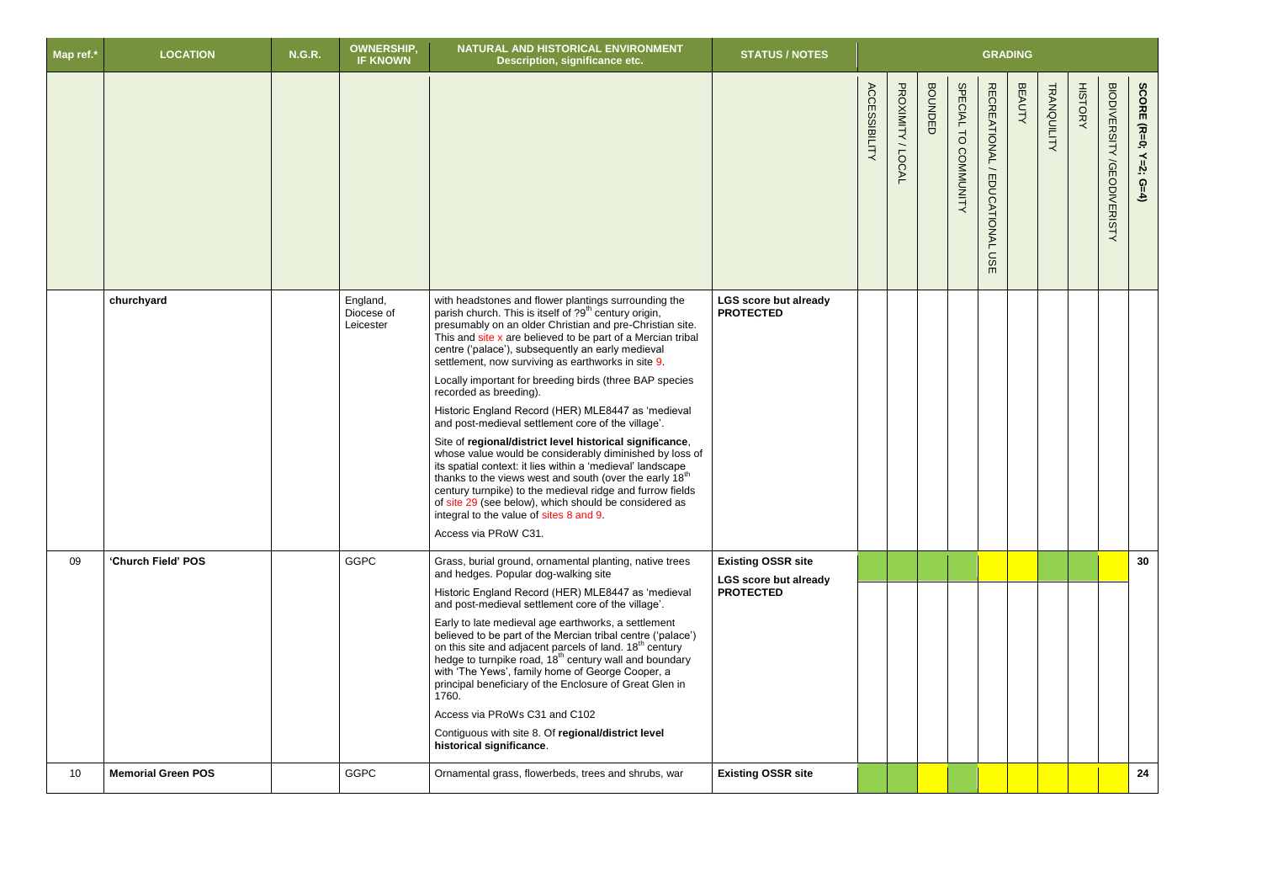| Map ref.*       | <b>LOCATION</b>           | <b>N.G.R.</b> | <b>OWNERSHIP</b><br><b>IF KNOWN</b> | NATURAL AND HISTORICAL ENVIRONMENT<br>Description, significance etc.                                                                                                                                                                                                                                                                                                                                                                                                                                                                                                                                                                                                                                                                                                                                                                                                                                                                                                                                                  | <b>STATUS / NOTES</b>                                                         |                      |                     |                |                                |                                            | <b>GRADING</b> |             |                |                                                                      |
|-----------------|---------------------------|---------------|-------------------------------------|-----------------------------------------------------------------------------------------------------------------------------------------------------------------------------------------------------------------------------------------------------------------------------------------------------------------------------------------------------------------------------------------------------------------------------------------------------------------------------------------------------------------------------------------------------------------------------------------------------------------------------------------------------------------------------------------------------------------------------------------------------------------------------------------------------------------------------------------------------------------------------------------------------------------------------------------------------------------------------------------------------------------------|-------------------------------------------------------------------------------|----------------------|---------------------|----------------|--------------------------------|--------------------------------------------|----------------|-------------|----------------|----------------------------------------------------------------------|
|                 |                           |               |                                     |                                                                                                                                                                                                                                                                                                                                                                                                                                                                                                                                                                                                                                                                                                                                                                                                                                                                                                                                                                                                                       |                                                                               | <b>ACCESSIBILITY</b> | PROXIMITY<br>/LOCAL | <b>BOUNDED</b> | SPECIAL TO<br><b>COMMUNITY</b> | RECREATIONAL/<br><b>EDUCATIONAL</b><br>mSE | <b>BEAUTY</b>  | TRANQUILITY | <b>HISTORY</b> | SCORE (R=0;<br><b>BIODIVERISHY /GEODIVERISHY</b><br>$Y=2;$<br>$G=4)$ |
|                 | churchyard                |               | England,<br>Diocese of<br>Leicester | with headstones and flower plantings surrounding the<br>parish church. This is itself of ?9 <sup>th</sup> century origin,<br>presumably on an older Christian and pre-Christian site.<br>This and site x are believed to be part of a Mercian tribal<br>centre ('palace'), subsequently an early medieval<br>settlement, now surviving as earthworks in site 9.<br>Locally important for breeding birds (three BAP species<br>recorded as breeding).<br>Historic England Record (HER) MLE8447 as 'medieval<br>and post-medieval settlement core of the village'.<br>Site of regional/district level historical significance,<br>whose value would be considerably diminished by loss of<br>its spatial context: it lies within a 'medieval' landscape<br>thanks to the views west and south (over the early 18 <sup>th</sup><br>century turnpike) to the medieval ridge and furrow fields<br>of site 29 (see below), which should be considered as<br>integral to the value of sites 8 and 9.<br>Access via PRoW C31. | <b>LGS score but already</b><br><b>PROTECTED</b>                              |                      |                     |                |                                |                                            |                |             |                |                                                                      |
| 09              | 'Church Field' POS        |               | <b>GGPC</b>                         | Grass, burial ground, ornamental planting, native trees<br>and hedges. Popular dog-walking site<br>Historic England Record (HER) MLE8447 as 'medieval<br>and post-medieval settlement core of the village'.<br>Early to late medieval age earthworks, a settlement<br>believed to be part of the Mercian tribal centre ('palace')<br>on this site and adjacent parcels of land. 18 <sup>th</sup> century<br>hedge to turnpike road, 18 <sup>th</sup> century wall and boundary<br>with 'The Yews', family home of George Cooper, a<br>principal beneficiary of the Enclosure of Great Glen in<br>1760.<br>Access via PRoWs C31 and C102<br>Contiguous with site 8. Of regional/district level<br>historical significance.                                                                                                                                                                                                                                                                                             | <b>Existing OSSR site</b><br><b>LGS score but already</b><br><b>PROTECTED</b> |                      |                     |                |                                |                                            |                |             |                | 30 <sup>°</sup>                                                      |
| 10 <sup>°</sup> | <b>Memorial Green POS</b> |               | <b>GGPC</b>                         | Ornamental grass, flowerbeds, trees and shrubs, war                                                                                                                                                                                                                                                                                                                                                                                                                                                                                                                                                                                                                                                                                                                                                                                                                                                                                                                                                                   | <b>Existing OSSR site</b>                                                     |                      |                     |                |                                |                                            |                |             |                | 24                                                                   |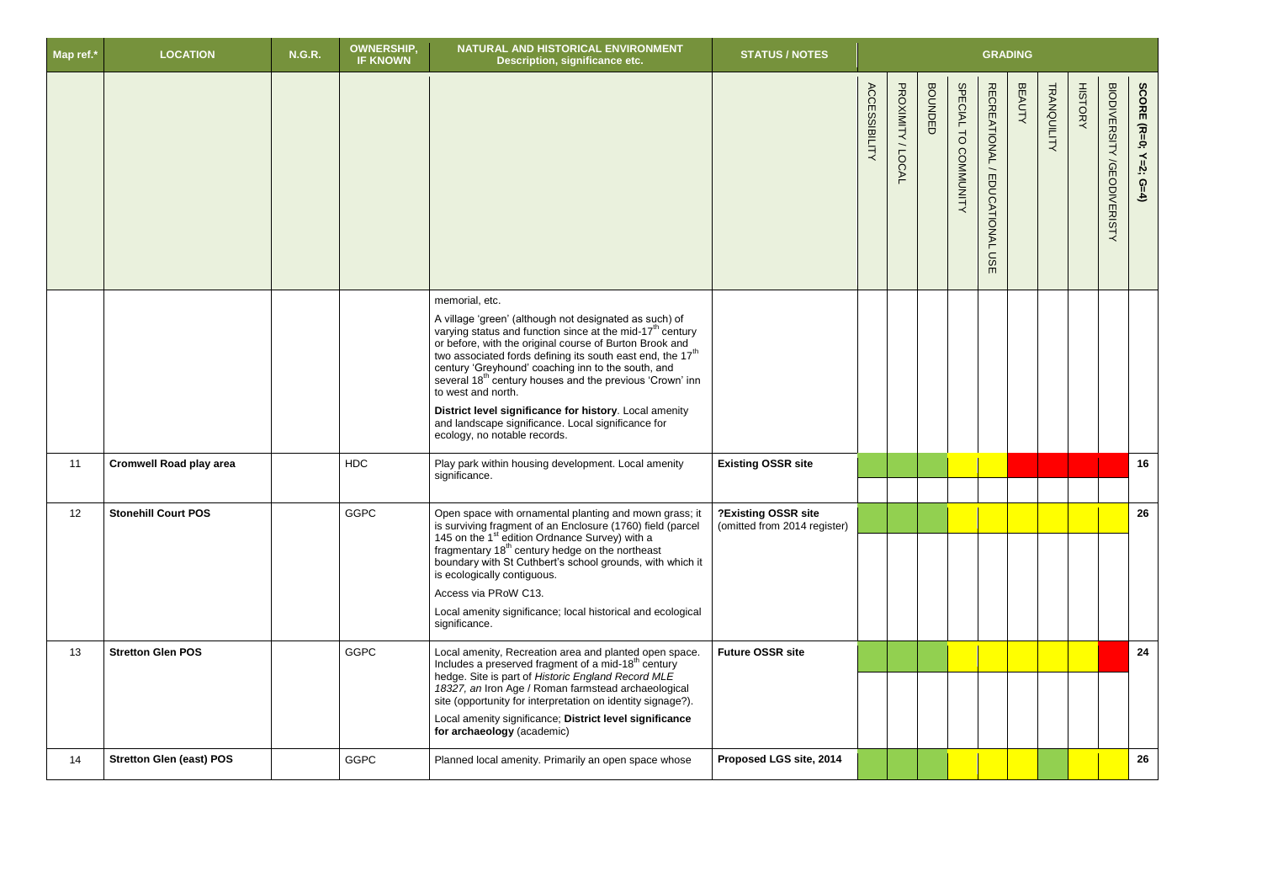| Map ref.* | <b>LOCATION</b>                 | <b>N.G.R.</b> | <b>OWNERSHIP,</b><br><b>IF KNOWN</b> | NATURAL AND HISTORICAL ENVIRONMENT<br>Description, significance etc.                                                                                                                                                                                                                                                                                                                                                                                                                                                                                                                    | <b>STATUS / NOTES</b>                               |                      |                     |                |                      |                                                                              | <b>GRADING</b> |             |                |                                             |                       |
|-----------|---------------------------------|---------------|--------------------------------------|-----------------------------------------------------------------------------------------------------------------------------------------------------------------------------------------------------------------------------------------------------------------------------------------------------------------------------------------------------------------------------------------------------------------------------------------------------------------------------------------------------------------------------------------------------------------------------------------|-----------------------------------------------------|----------------------|---------------------|----------------|----------------------|------------------------------------------------------------------------------|----------------|-------------|----------------|---------------------------------------------|-----------------------|
|           |                                 |               |                                      |                                                                                                                                                                                                                                                                                                                                                                                                                                                                                                                                                                                         |                                                     | <b>ACCESSIBILITY</b> | PROXIMITY<br>/LOCAL | <b>BOUNDED</b> | SPECIAL TO COMMUNITY | <b>RECREATIONAL</b><br>$\overline{\phantom{0}}$<br>EDUCATIONAL<br><b>USE</b> | <b>BEAUTY</b>  | TRANQUILITY | <b>HISTORY</b> | <b>BIODIVERSITY</b><br><b>/GEODIVERISTY</b> | SCORE (R=0; Y=2; G=4) |
|           |                                 |               |                                      | memorial, etc.<br>A village 'green' (although not designated as such) of varying status and function since at the mid-17 <sup>th</sup> century<br>or before, with the original course of Burton Brook and<br>two associated fords defining its south east end, the 17 <sup>th</sup><br>century 'Greyhound' coaching inn to the south, and<br>several 18 <sup>th</sup> century houses and the previous 'Crown' inn<br>to west and north.<br>District level significance for history. Local amenity<br>and landscape significance. Local significance for<br>ecology, no notable records. |                                                     |                      |                     |                |                      |                                                                              |                |             |                |                                             |                       |
| 11        | <b>Cromwell Road play area</b>  |               | <b>HDC</b>                           | Play park within housing development. Local amenity<br>significance.                                                                                                                                                                                                                                                                                                                                                                                                                                                                                                                    | <b>Existing OSSR site</b>                           |                      |                     |                |                      |                                                                              |                |             |                |                                             | 16                    |
| 12        | <b>Stonehill Court POS</b>      |               | <b>GGPC</b>                          | Open space with ornamental planting and mown grass; it<br>is surviving fragment of an Enclosure (1760) field (parcel<br>145 on the 1 <sup>st</sup> edition Ordnance Survey) with a<br>fragmentary 18 <sup>th</sup> century hedge on the northeast<br>boundary with St Cuthbert's school grounds, with which it<br>is ecologically contiguous.<br>Access via PRoW C13.<br>Local amenity significance; local historical and ecological<br>significance.                                                                                                                                   | ?Existing OSSR site<br>(omitted from 2014 register) |                      |                     |                |                      |                                                                              |                |             |                |                                             | 26                    |
| 13        | <b>Stretton Glen POS</b>        |               | <b>GGPC</b>                          | Local amenity, Recreation area and planted open space.<br>Includes a preserved fragment of a mid-18 <sup>th</sup> century<br>hedge. Site is part of Historic England Record MLE<br>18327, an Iron Age / Roman farmstead archaeological<br>site (opportunity for interpretation on identity signage?).<br>Local amenity significance; District level significance<br>for archaeology (academic)                                                                                                                                                                                          | <b>Future OSSR site</b>                             |                      |                     |                |                      |                                                                              |                |             |                |                                             | 24                    |
| 14        | <b>Stretton Glen (east) POS</b> |               | <b>GGPC</b>                          | Planned local amenity. Primarily an open space whose                                                                                                                                                                                                                                                                                                                                                                                                                                                                                                                                    | Proposed LGS site, 2014                             |                      |                     |                |                      |                                                                              |                |             |                |                                             | 26                    |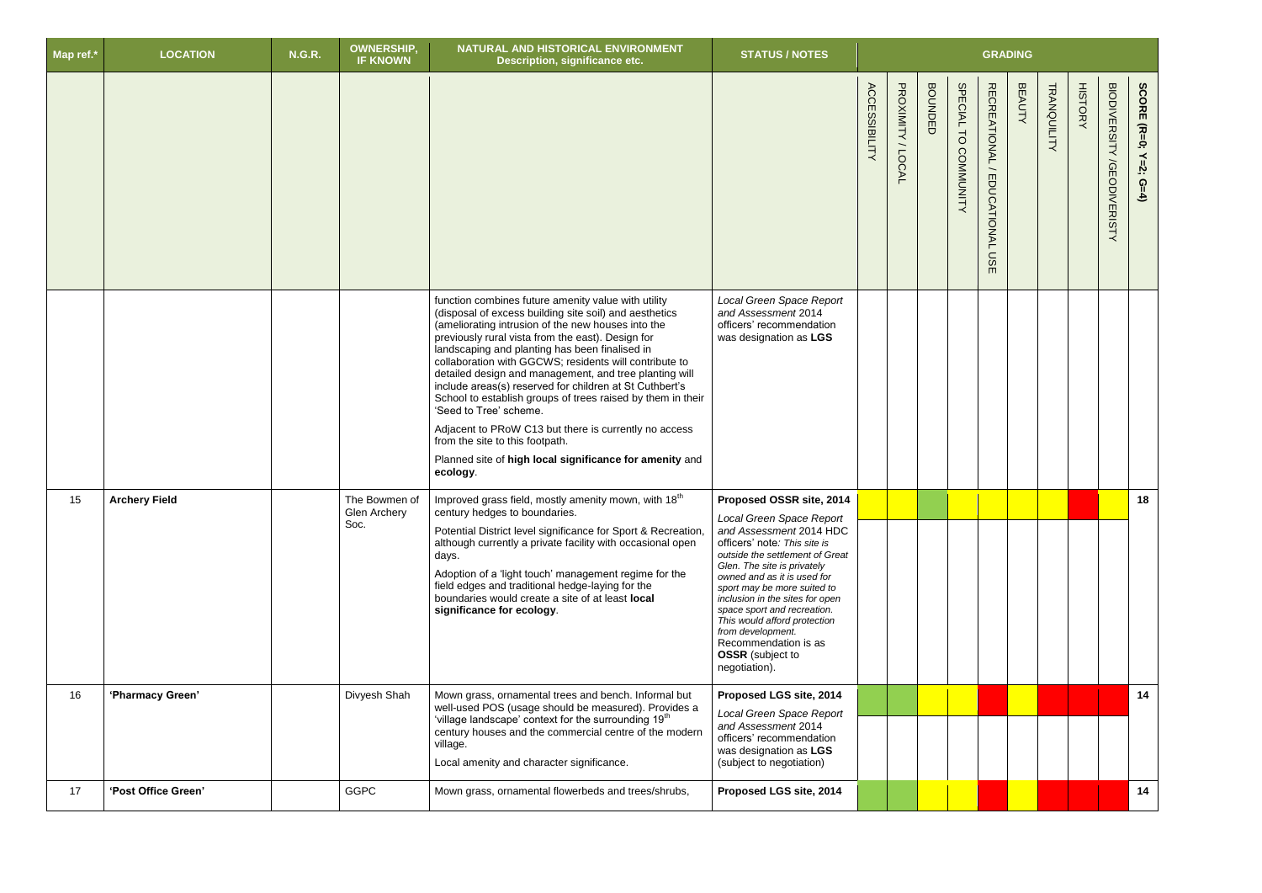| Map ref.* | <b>LOCATION</b>      | <b>N.G.R.</b> | <b>OWNERSHIP</b><br><b>IF KNOWN</b>   | NATURAL AND HISTORICAL ENVIRONMENT<br>Description, significance etc.                                                                                                                                                                                                                                                                                                                                                                                                                                                                                                                                                                                                                                                  | <b>STATUS / NOTES</b>                                                                                                                                                                                                                                                                                                                                                                                                                      |                      |                     |                |                      |                                            | <b>GRADING</b> |             |                |                                      |                       |
|-----------|----------------------|---------------|---------------------------------------|-----------------------------------------------------------------------------------------------------------------------------------------------------------------------------------------------------------------------------------------------------------------------------------------------------------------------------------------------------------------------------------------------------------------------------------------------------------------------------------------------------------------------------------------------------------------------------------------------------------------------------------------------------------------------------------------------------------------------|--------------------------------------------------------------------------------------------------------------------------------------------------------------------------------------------------------------------------------------------------------------------------------------------------------------------------------------------------------------------------------------------------------------------------------------------|----------------------|---------------------|----------------|----------------------|--------------------------------------------|----------------|-------------|----------------|--------------------------------------|-----------------------|
|           |                      |               |                                       |                                                                                                                                                                                                                                                                                                                                                                                                                                                                                                                                                                                                                                                                                                                       |                                                                                                                                                                                                                                                                                                                                                                                                                                            | <b>ACCESSIBILITY</b> | PROXIMITY<br>/LOCAL | <b>BOUNDED</b> | SPECIAL TO COMMUNITY | RECREATIONAL/<br><b>EDUCATIONAL</b><br>USE | <b>BEAUTY</b>  | TRANQUILITY | <b>HISTORY</b> | <b>BIODIVERSITY</b><br>/GEODIVERISTY | SCORE (R=0; Y=2; G=4) |
|           |                      |               |                                       | function combines future amenity value with utility<br>(disposal of excess building site soil) and aesthetics<br>(ameliorating intrusion of the new houses into the<br>previously rural vista from the east). Design for<br>landscaping and planting has been finalised in<br>collaboration with GGCWS; residents will contribute to<br>detailed design and management, and tree planting will<br>include areas(s) reserved for children at St Cuthbert's<br>School to establish groups of trees raised by them in their<br>'Seed to Tree' scheme.<br>Adjacent to PRoW C13 but there is currently no access<br>from the site to this footpath.<br>Planned site of high local significance for amenity and<br>ecology. | Local Green Space Report<br>and Assessment 2014<br>officers' recommendation<br>was designation as LGS                                                                                                                                                                                                                                                                                                                                      |                      |                     |                |                      |                                            |                |             |                |                                      |                       |
| 15        | <b>Archery Field</b> |               | The Bowmen of<br>Glen Archery<br>Soc. | Improved grass field, mostly amenity mown, with 18 <sup>th</sup><br>century hedges to boundaries.<br>Potential District level significance for Sport & Recreation<br>although currently a private facility with occasional open<br>days.<br>Adoption of a 'light touch' management regime for the<br>field edges and traditional hedge-laying for the<br>boundaries would create a site of at least local<br>significance for ecology.                                                                                                                                                                                                                                                                                | Proposed OSSR site, 2014<br>Local Green Space Report<br>and Assessment 2014 HDC<br>officers' note: This site is<br>outside the settlement of Great<br>Glen. The site is privately<br>owned and as it is used for<br>sport may be more suited to<br>inclusion in the sites for open<br>space sport and recreation.<br>This would afford protection<br>from development.<br>Recommendation is as<br><b>OSSR</b> (subject to<br>negotiation). |                      |                     |                |                      |                                            |                |             |                |                                      | 18                    |
| 16        | 'Pharmacy Green'     |               | Divyesh Shah                          | Mown grass, ornamental trees and bench. Informal but<br>well-used POS (usage should be measured). Provides a<br>'village landscape' context for the surrounding 19 <sup>th</sup><br>century houses and the commercial centre of the modern<br>village.<br>Local amenity and character significance.                                                                                                                                                                                                                                                                                                                                                                                                                   | Proposed LGS site, 2014<br>Local Green Space Report<br>and Assessment 2014<br>officers' recommendation<br>was designation as LGS<br>(subject to negotiation)                                                                                                                                                                                                                                                                               |                      |                     |                |                      |                                            |                |             |                |                                      | 14                    |
| 17        | 'Post Office Green'  |               | <b>GGPC</b>                           | Mown grass, ornamental flowerbeds and trees/shrubs,                                                                                                                                                                                                                                                                                                                                                                                                                                                                                                                                                                                                                                                                   | Proposed LGS site, 2014                                                                                                                                                                                                                                                                                                                                                                                                                    |                      |                     |                |                      |                                            |                |             |                |                                      | 14                    |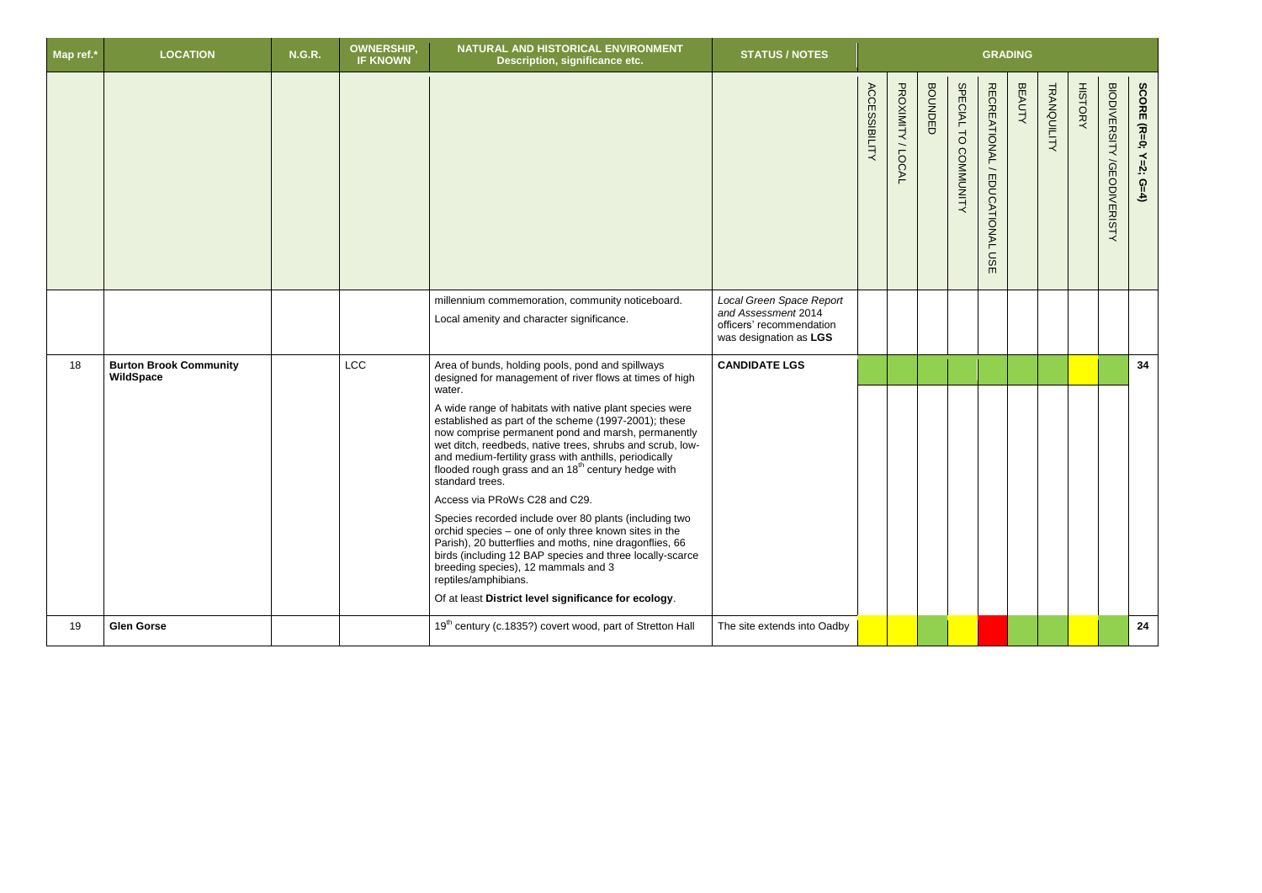| Map ref.* | <b>LOCATION</b>                            | <b>N.G.R.</b> | <b>OWNERSHIP,</b><br><b>IF KNOWN</b> | NATURAL AND HISTORICAL ENVIRONMENT<br>Description, significance etc.                                                                                                                                                                                                                                                                                                                                                                                                                                                                                                                                                                                                                                                                                                                                                                                                                                         | <b>STATUS / NOTES</b>                                                                                 |                      |                   |                |                      |                                                                                | <b>GRADING</b> |             |                |                                             |                       |
|-----------|--------------------------------------------|---------------|--------------------------------------|--------------------------------------------------------------------------------------------------------------------------------------------------------------------------------------------------------------------------------------------------------------------------------------------------------------------------------------------------------------------------------------------------------------------------------------------------------------------------------------------------------------------------------------------------------------------------------------------------------------------------------------------------------------------------------------------------------------------------------------------------------------------------------------------------------------------------------------------------------------------------------------------------------------|-------------------------------------------------------------------------------------------------------|----------------------|-------------------|----------------|----------------------|--------------------------------------------------------------------------------|----------------|-------------|----------------|---------------------------------------------|-----------------------|
|           |                                            |               |                                      |                                                                                                                                                                                                                                                                                                                                                                                                                                                                                                                                                                                                                                                                                                                                                                                                                                                                                                              |                                                                                                       | <b>ACCESSIBILITY</b> | PROXIMITY / LOCAL | <b>BOUNDED</b> | SPECIAL TO COMMUNITY | <b>RECREATIONAL</b><br>$\overbrace{\phantom{12332}}$<br>EDUCATIONAL<br>S<br>m. | <b>BEAUTY</b>  | TRANQUILITY | <b>HISTORY</b> | <b>BIODIVERSITY</b><br><b>/GEODIVERISTY</b> | SCORE (R=0; Y=2; G=4) |
|           |                                            |               |                                      | millennium commemoration, community noticeboard.<br>Local amenity and character significance.                                                                                                                                                                                                                                                                                                                                                                                                                                                                                                                                                                                                                                                                                                                                                                                                                | Local Green Space Report<br>and Assessment 2014<br>officers' recommendation<br>was designation as LGS |                      |                   |                |                      |                                                                                |                |             |                |                                             |                       |
| 18        | <b>Burton Brook Community</b><br>WildSpace |               | <b>LCC</b>                           | Area of bunds, holding pools, pond and spillways<br>designed for management of river flows at times of high<br>water.<br>A wide range of habitats with native plant species were<br>established as part of the scheme (1997-2001); these<br>now comprise permanent pond and marsh, permanently<br>wet ditch, reedbeds, native trees, shrubs and scrub, low-<br>and medium-fertility grass with anthills, periodically<br>flooded rough grass and an 18 <sup>th</sup> century hedge with<br>standard trees.<br>Access via PRoWs C28 and C29.<br>Species recorded include over 80 plants (including two<br>orchid species - one of only three known sites in the<br>Parish), 20 butterflies and moths, nine dragonflies, 66<br>birds (including 12 BAP species and three locally-scarce<br>breeding species), 12 mammals and 3<br>reptiles/amphibians.<br>Of at least District level significance for ecology. | <b>CANDIDATE LGS</b>                                                                                  |                      |                   |                |                      |                                                                                |                |             |                |                                             | 34                    |
| 19        | <b>Glen Gorse</b>                          |               |                                      | 19 <sup>th</sup> century (c.1835?) covert wood, part of Stretton Hall                                                                                                                                                                                                                                                                                                                                                                                                                                                                                                                                                                                                                                                                                                                                                                                                                                        | The site extends into Oadby                                                                           |                      |                   |                |                      |                                                                                |                |             |                |                                             | 24                    |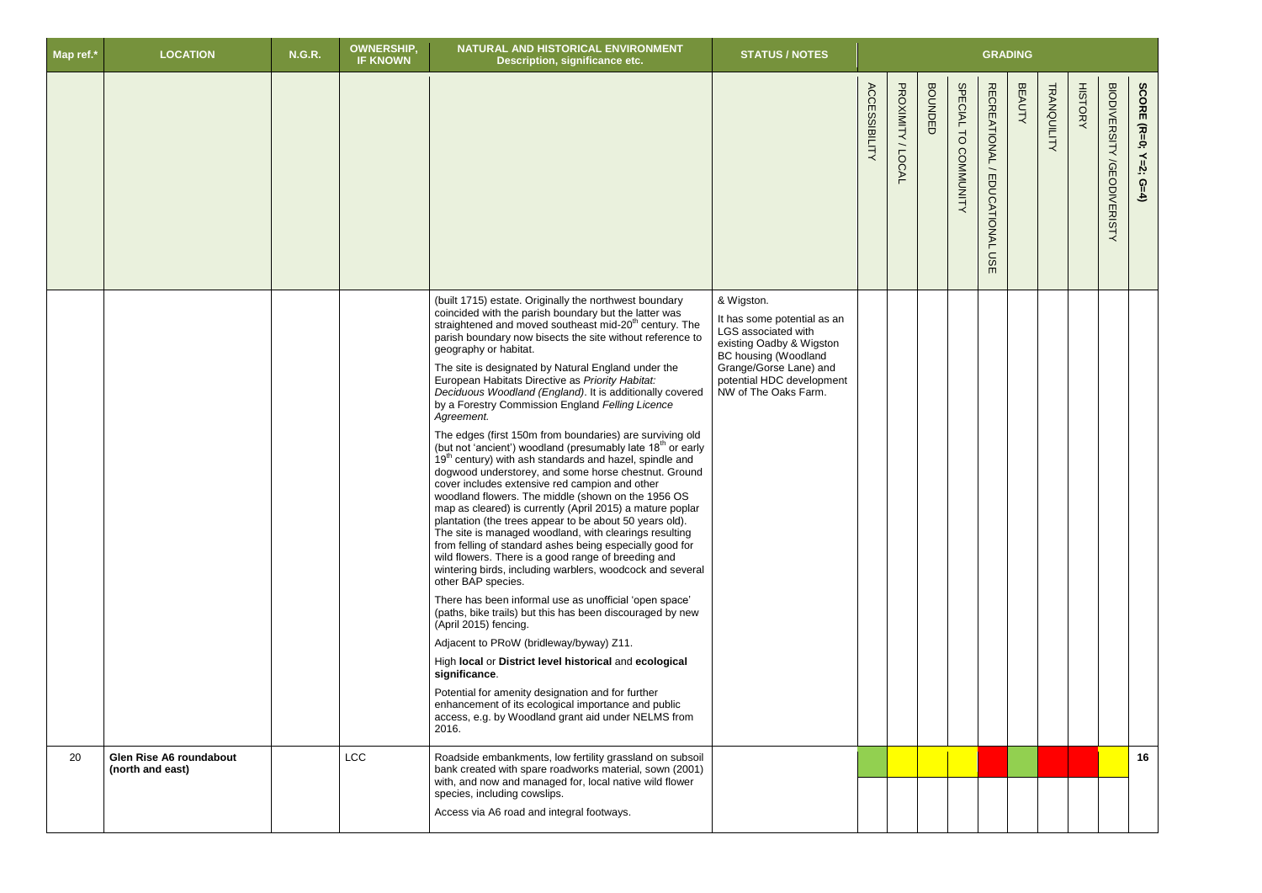| Map ref.* | <b>LOCATION</b>                                    | <b>N.G.R.</b> | <b>OWNERSHIP,</b><br><b>IF KNOWN</b> | NATURAL AND HISTORICAL ENVIRONMENT<br>Description, significance etc.                                                                                                                                                                                                                                                                                                                                                                                                                                                                                                                                                                                                                                                                                                                                                                                                                                                                                                                                                                                                                                                                                                                                                                                                                                                                                                                                                                                                                                                                                                                                                                                                                                                                         | <b>STATUS / NOTES</b>                                                                                                                                                                               |                      |                     |                |                                                     | <b>GRADING</b>                                    |               |                               |                                             |                                  |
|-----------|----------------------------------------------------|---------------|--------------------------------------|----------------------------------------------------------------------------------------------------------------------------------------------------------------------------------------------------------------------------------------------------------------------------------------------------------------------------------------------------------------------------------------------------------------------------------------------------------------------------------------------------------------------------------------------------------------------------------------------------------------------------------------------------------------------------------------------------------------------------------------------------------------------------------------------------------------------------------------------------------------------------------------------------------------------------------------------------------------------------------------------------------------------------------------------------------------------------------------------------------------------------------------------------------------------------------------------------------------------------------------------------------------------------------------------------------------------------------------------------------------------------------------------------------------------------------------------------------------------------------------------------------------------------------------------------------------------------------------------------------------------------------------------------------------------------------------------------------------------------------------------|-----------------------------------------------------------------------------------------------------------------------------------------------------------------------------------------------------|----------------------|---------------------|----------------|-----------------------------------------------------|---------------------------------------------------|---------------|-------------------------------|---------------------------------------------|----------------------------------|
|           |                                                    |               |                                      |                                                                                                                                                                                                                                                                                                                                                                                                                                                                                                                                                                                                                                                                                                                                                                                                                                                                                                                                                                                                                                                                                                                                                                                                                                                                                                                                                                                                                                                                                                                                                                                                                                                                                                                                              |                                                                                                                                                                                                     | <b>ACCESSIBILITY</b> | PROXIMITY<br>/LOCAL | <b>BOUNDED</b> | <b>SPECIAL</b><br>$\overline{d}$<br><b>COMMUNIT</b> | <b>RECREATIONAL</b><br>EDUCATIONAL<br>S<br>$\Box$ | <b>BEAUTY</b> | <b>HISTORY</b><br>TRANQUILITY | <b>BIODIVERSITY</b><br><b>/GEODIVERISTY</b> | SCORE (R=0;<br>$Y=2$ ;<br>$G=4)$ |
|           |                                                    |               |                                      | (built 1715) estate. Originally the northwest boundary<br>coincided with the parish boundary but the latter was<br>straightened and moved southeast mid-20 <sup>th</sup> century. The<br>parish boundary now bisects the site without reference to<br>geography or habitat.<br>The site is designated by Natural England under the<br>European Habitats Directive as Priority Habitat:<br>Deciduous Woodland (England). It is additionally covered<br>by a Forestry Commission England Felling Licence<br>Agreement.<br>The edges (first 150m from boundaries) are surviving old<br>(but not 'ancient') woodland (presumably late 18 <sup>th</sup> or early<br>19 <sup>th</sup> century) with ash standards and hazel, spindle and<br>dogwood understorey, and some horse chestnut. Ground<br>cover includes extensive red campion and other<br>woodland flowers. The middle (shown on the 1956 OS<br>map as cleared) is currently (April 2015) a mature poplar<br>plantation (the trees appear to be about 50 years old).<br>The site is managed woodland, with clearings resulting<br>from felling of standard ashes being especially good for<br>wild flowers. There is a good range of breeding and<br>wintering birds, including warblers, woodcock and several<br>other BAP species.<br>There has been informal use as unofficial 'open space'<br>(paths, bike trails) but this has been discouraged by new<br>(April 2015) fencing.<br>Adjacent to PRoW (bridleway/byway) Z11.<br>High local or District level historical and ecological<br>significance.<br>Potential for amenity designation and for further<br>enhancement of its ecological importance and public<br>access, e.g. by Woodland grant aid under NELMS from<br>2016. | & Wigston.<br>It has some potential as an<br>LGS associated with<br>existing Oadby & Wigston<br>BC housing (Woodland<br>Grange/Gorse Lane) and<br>potential HDC development<br>NW of The Oaks Farm. |                      |                     |                |                                                     |                                                   |               |                               |                                             |                                  |
| 20        | <b>Glen Rise A6 roundabout</b><br>(north and east) |               | <b>LCC</b>                           | Roadside embankments, low fertility grassland on subsoil<br>bank created with spare roadworks material, sown (2001)<br>with, and now and managed for, local native wild flower<br>species, including cowslips.<br>Access via A6 road and integral footways.                                                                                                                                                                                                                                                                                                                                                                                                                                                                                                                                                                                                                                                                                                                                                                                                                                                                                                                                                                                                                                                                                                                                                                                                                                                                                                                                                                                                                                                                                  |                                                                                                                                                                                                     |                      |                     |                |                                                     |                                                   |               |                               |                                             | 16                               |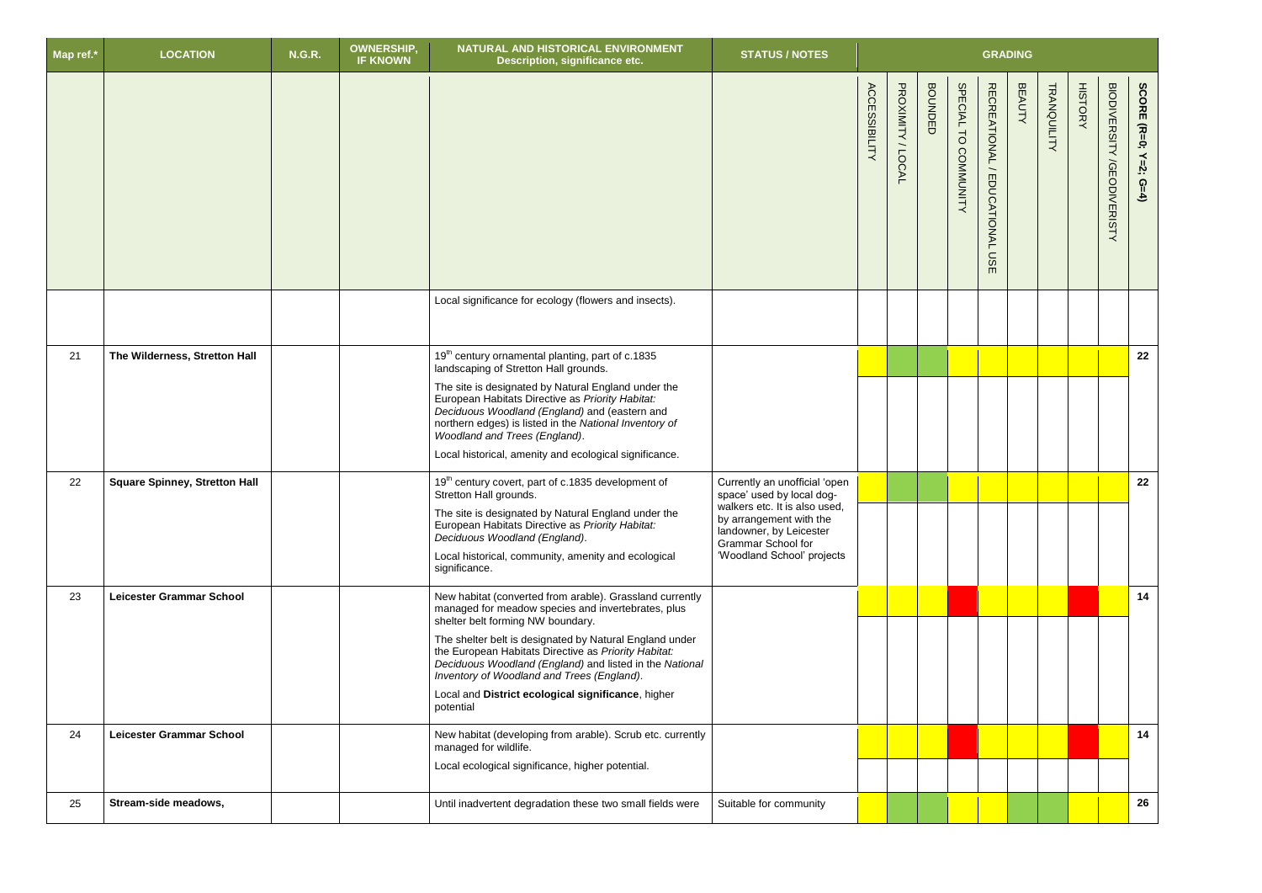| Map ref.* | <b>LOCATION</b>                      | <b>N.G.R.</b> | <b>OWNERSHIP</b><br><b>IF KNOWN</b> | NATURAL AND HISTORICAL ENVIRONMENT<br>Description, significance etc.                                                                                                                                                                                                                                                                                                                                                                               | <b>STATUS / NOTES</b>                                                                                                                                                                                        |                      |                     |                |                                                     | <b>GRADING</b>                             |               |             |                |                                      |                                  |
|-----------|--------------------------------------|---------------|-------------------------------------|----------------------------------------------------------------------------------------------------------------------------------------------------------------------------------------------------------------------------------------------------------------------------------------------------------------------------------------------------------------------------------------------------------------------------------------------------|--------------------------------------------------------------------------------------------------------------------------------------------------------------------------------------------------------------|----------------------|---------------------|----------------|-----------------------------------------------------|--------------------------------------------|---------------|-------------|----------------|--------------------------------------|----------------------------------|
|           |                                      |               |                                     |                                                                                                                                                                                                                                                                                                                                                                                                                                                    |                                                                                                                                                                                                              | <b>ACCESSIBILITY</b> | PROXIMITY<br>/LOCAL | <b>BOUNDED</b> | <b>SPECIAL</b><br>$\overline{d}$<br><b>COMMUNIT</b> | RECREATIONAL/<br><b>EDUCATIONAL</b><br>msE | <b>BEAUTY</b> | TRANQUILITY | <b>HISTORY</b> | <b>BIODIVERSITY</b><br>/GEODIVERISTY | SCORE (R=0;<br>$Y=2$ ;<br>$G=4)$ |
|           |                                      |               |                                     | Local significance for ecology (flowers and insects).                                                                                                                                                                                                                                                                                                                                                                                              |                                                                                                                                                                                                              |                      |                     |                |                                                     |                                            |               |             |                |                                      |                                  |
| 21        | The Wilderness, Stretton Hall        |               |                                     | 19 <sup>th</sup> century ornamental planting, part of c.1835<br>landscaping of Stretton Hall grounds.<br>The site is designated by Natural England under the<br>European Habitats Directive as Priority Habitat:<br>Deciduous Woodland (England) and (eastern and<br>northern edges) is listed in the National Inventory of<br>Woodland and Trees (England).<br>Local historical, amenity and ecological significance.                             |                                                                                                                                                                                                              |                      |                     |                |                                                     |                                            |               |             |                |                                      | 22                               |
| 22        | <b>Square Spinney, Stretton Hall</b> |               |                                     | 19 <sup>th</sup> century covert, part of c.1835 development of<br>Stretton Hall grounds.<br>The site is designated by Natural England under the<br>European Habitats Directive as Priority Habitat:<br>Deciduous Woodland (England).<br>Local historical, community, amenity and ecological<br>significance.                                                                                                                                       | Currently an unofficial 'open<br>space' used by local dog-<br>walkers etc. It is also used,<br>by arrangement with the<br>landowner, by Leicester<br><b>Grammar School for</b><br>'Woodland School' projects |                      |                     |                |                                                     |                                            |               |             |                |                                      | 22                               |
| 23        | Leicester Grammar School             |               |                                     | New habitat (converted from arable). Grassland currently<br>managed for meadow species and invertebrates, plus<br>shelter belt forming NW boundary.<br>The shelter belt is designated by Natural England under<br>the European Habitats Directive as Priority Habitat:<br>Deciduous Woodland (England) and listed in the National<br>Inventory of Woodland and Trees (England).<br>Local and District ecological significance, higher<br>potential |                                                                                                                                                                                                              |                      |                     |                |                                                     |                                            |               |             |                |                                      | 14                               |
| 24        | <b>Leicester Grammar School</b>      |               |                                     | New habitat (developing from arable). Scrub etc. currently<br>managed for wildlife.<br>Local ecological significance, higher potential.                                                                                                                                                                                                                                                                                                            |                                                                                                                                                                                                              |                      |                     |                |                                                     |                                            |               |             |                |                                      | 14                               |
| 25        | Stream-side meadows,                 |               |                                     | Until inadvertent degradation these two small fields were                                                                                                                                                                                                                                                                                                                                                                                          | Suitable for community                                                                                                                                                                                       |                      |                     |                |                                                     |                                            |               |             |                |                                      | 26                               |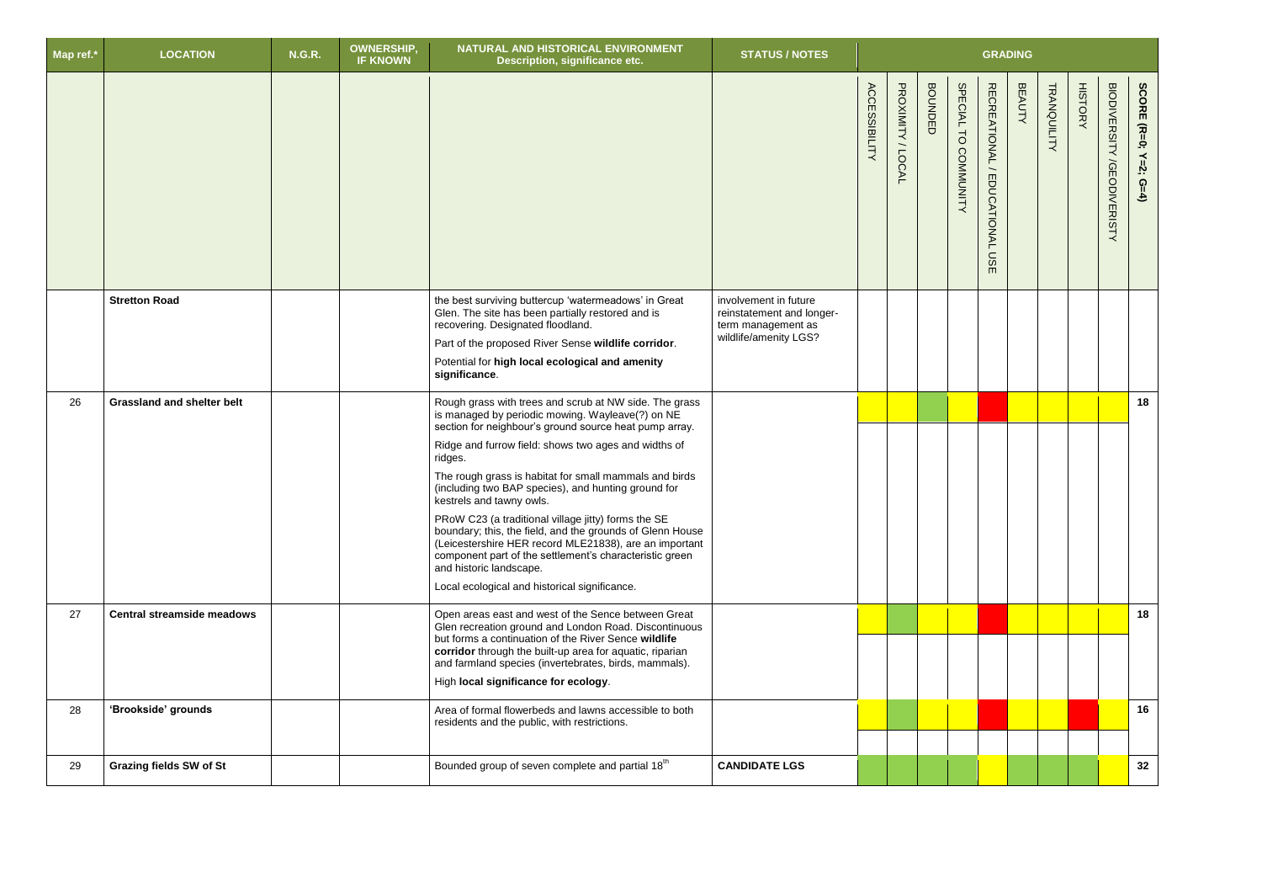| Map ref.* | <b>LOCATION</b>                   | <b>N.G.R.</b> | <b>OWNERSHIP,</b><br><b>IF KNOWN</b> | NATURAL AND HISTORICAL ENVIRONMENT<br>Description, significance etc.                                                                                                                                                                                                                                                                                                                                                                                                                                                                                                                                                                                                                                      | <b>STATUS / NOTES</b>                                                                             |                      |                   |                |                                |                                     | <b>GRADING</b> |                    |                |                                             |                             |
|-----------|-----------------------------------|---------------|--------------------------------------|-----------------------------------------------------------------------------------------------------------------------------------------------------------------------------------------------------------------------------------------------------------------------------------------------------------------------------------------------------------------------------------------------------------------------------------------------------------------------------------------------------------------------------------------------------------------------------------------------------------------------------------------------------------------------------------------------------------|---------------------------------------------------------------------------------------------------|----------------------|-------------------|----------------|--------------------------------|-------------------------------------|----------------|--------------------|----------------|---------------------------------------------|-----------------------------|
|           |                                   |               |                                      |                                                                                                                                                                                                                                                                                                                                                                                                                                                                                                                                                                                                                                                                                                           |                                                                                                   | <b>ACCESSIBILITY</b> | PROXIMITY / LOCAL | <b>BOUNDED</b> | SPECIAL TO<br><b>COMMUNITY</b> | RECREATIONAL/<br>EDUCATIONAL<br>USE | <b>BEAUTY</b>  | <b>TRANQUILITY</b> | <b>HISTORY</b> | <b>BIODIVERSITY</b><br><b>/GEODIVERISTY</b> | SCORE (R=0;<br>$Y=2$ ; G=4) |
|           | <b>Stretton Road</b>              |               |                                      | the best surviving buttercup 'watermeadows' in Great<br>Glen. The site has been partially restored and is<br>recovering. Designated floodland.<br>Part of the proposed River Sense wildlife corridor.<br>Potential for high local ecological and amenity<br>significance.                                                                                                                                                                                                                                                                                                                                                                                                                                 | involvement in future<br>reinstatement and longer-<br>term management as<br>wildlife/amenity LGS? |                      |                   |                |                                |                                     |                |                    |                |                                             |                             |
| 26        | <b>Grassland and shelter belt</b> |               |                                      | Rough grass with trees and scrub at NW side. The grass<br>is managed by periodic mowing. Wayleave(?) on NE<br>section for neighbour's ground source heat pump array.<br>Ridge and furrow field: shows two ages and widths of<br>ridges.<br>The rough grass is habitat for small mammals and birds<br>(including two BAP species), and hunting ground for<br>kestrels and tawny owls.<br>PRoW C23 (a traditional village jitty) forms the SE<br>boundary; this, the field, and the grounds of Glenn House<br>(Leicestershire HER record MLE21838), are an important<br>component part of the settlement's characteristic green<br>and historic landscape.<br>Local ecological and historical significance. |                                                                                                   |                      |                   |                |                                |                                     |                |                    |                |                                             | 18                          |
| 27        | <b>Central streamside meadows</b> |               |                                      | Open areas east and west of the Sence between Great<br>Glen recreation ground and London Road. Discontinuous<br>but forms a continuation of the River Sence wildlife<br>corridor through the built-up area for aquatic, riparian<br>and farmland species (invertebrates, birds, mammals).<br>High local significance for ecology.                                                                                                                                                                                                                                                                                                                                                                         |                                                                                                   |                      |                   |                |                                |                                     |                |                    |                |                                             | 18                          |
| 28        | 'Brookside' grounds               |               |                                      | Area of formal flowerbeds and lawns accessible to both<br>residents and the public, with restrictions.                                                                                                                                                                                                                                                                                                                                                                                                                                                                                                                                                                                                    |                                                                                                   |                      |                   |                |                                |                                     |                |                    |                |                                             | 16                          |
| 29        | <b>Grazing fields SW of St</b>    |               |                                      | Bounded group of seven complete and partial 18 <sup>th</sup>                                                                                                                                                                                                                                                                                                                                                                                                                                                                                                                                                                                                                                              | <b>CANDIDATE LGS</b>                                                                              |                      |                   |                |                                |                                     |                |                    |                |                                             | 32                          |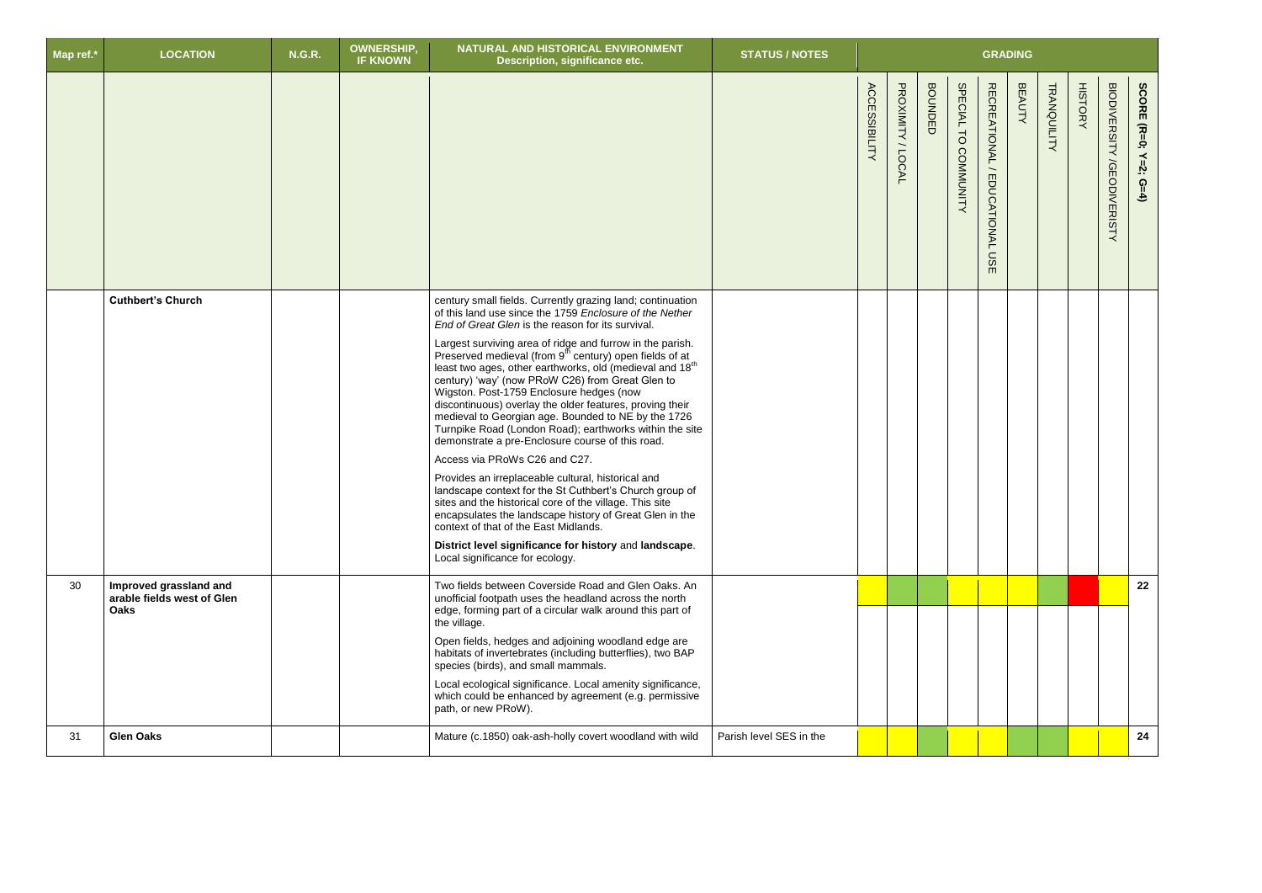| Map ref.* | <b>LOCATION</b>                                                     | <b>N.G.R.</b> | <b>OWNERSHIP</b><br><b>IF KNOWN</b> | NATURAL AND HISTORICAL ENVIRONMENT<br><b>Description, significance etc.</b>                                                                                                                                                                                                                                                                                                                                                                                                                                                                                                                                                                                                                                                                                                                                                                                                                                                                                                                                                                                                                                                     | <b>STATUS / NOTES</b>   |                      |                   |                |                      |                                            | <b>GRADING</b> |             |                |                                             |                       |
|-----------|---------------------------------------------------------------------|---------------|-------------------------------------|---------------------------------------------------------------------------------------------------------------------------------------------------------------------------------------------------------------------------------------------------------------------------------------------------------------------------------------------------------------------------------------------------------------------------------------------------------------------------------------------------------------------------------------------------------------------------------------------------------------------------------------------------------------------------------------------------------------------------------------------------------------------------------------------------------------------------------------------------------------------------------------------------------------------------------------------------------------------------------------------------------------------------------------------------------------------------------------------------------------------------------|-------------------------|----------------------|-------------------|----------------|----------------------|--------------------------------------------|----------------|-------------|----------------|---------------------------------------------|-----------------------|
|           |                                                                     |               |                                     |                                                                                                                                                                                                                                                                                                                                                                                                                                                                                                                                                                                                                                                                                                                                                                                                                                                                                                                                                                                                                                                                                                                                 |                         | <b>ACCESSIBILITY</b> | PROXIMITY / LOCAL | <b>BOUNDED</b> | SPECIAL TO COMMUNITY | RECREATIONAL/<br><b>EDUCATIONAL</b><br>USE | <b>BEAUTY</b>  | TRANQUILITY | <b>HISTORY</b> | <b>BIODIVERSITY</b><br><b>/GEODIVERISTY</b> | SCORE (R=0; Y=2; G=4) |
|           | <b>Cuthbert's Church</b>                                            |               |                                     | century small fields. Currently grazing land; continuation<br>of this land use since the 1759 Enclosure of the Nether<br>End of Great Glen is the reason for its survival.<br>Largest surviving area of ridge and furrow in the parish.<br>Preserved medieval (from $9^{th}$ century) open fields of at<br>least two ages, other earthworks, old (medieval and 18 <sup>th</sup><br>century) 'way' (now PRoW C26) from Great Glen to<br>Wigston. Post-1759 Enclosure hedges (now<br>discontinuous) overlay the older features, proving their<br>medieval to Georgian age. Bounded to NE by the 1726<br>Turnpike Road (London Road); earthworks within the site<br>demonstrate a pre-Enclosure course of this road.<br>Access via PRoWs C26 and C27.<br>Provides an irreplaceable cultural, historical and<br>landscape context for the St Cuthbert's Church group of<br>sites and the historical core of the village. This site<br>encapsulates the landscape history of Great Glen in the<br>context of that of the East Midlands.<br>District level significance for history and landscape.<br>Local significance for ecology. |                         |                      |                   |                |                      |                                            |                |             |                |                                             |                       |
| 30        | Improved grassland and<br>arable fields west of Glen<br><b>Oaks</b> |               |                                     | Two fields between Coverside Road and Glen Oaks. An<br>unofficial footpath uses the headland across the north<br>edge, forming part of a circular walk around this part of<br>the village.<br>Open fields, hedges and adjoining woodland edge are<br>habitats of invertebrates (including butterflies), two BAP<br>species (birds), and small mammals.<br>Local ecological significance. Local amenity significance,<br>which could be enhanced by agreement (e.g. permissive<br>path, or new PRoW).                                                                                                                                                                                                                                                                                                                                                                                                                                                                                                                                                                                                                            |                         |                      |                   |                |                      |                                            |                |             |                |                                             | 22                    |
| 31        | <b>Glen Oaks</b>                                                    |               |                                     | Mature (c.1850) oak-ash-holly covert woodland with wild                                                                                                                                                                                                                                                                                                                                                                                                                                                                                                                                                                                                                                                                                                                                                                                                                                                                                                                                                                                                                                                                         | Parish level SES in the |                      |                   |                |                      |                                            |                |             |                |                                             | 24                    |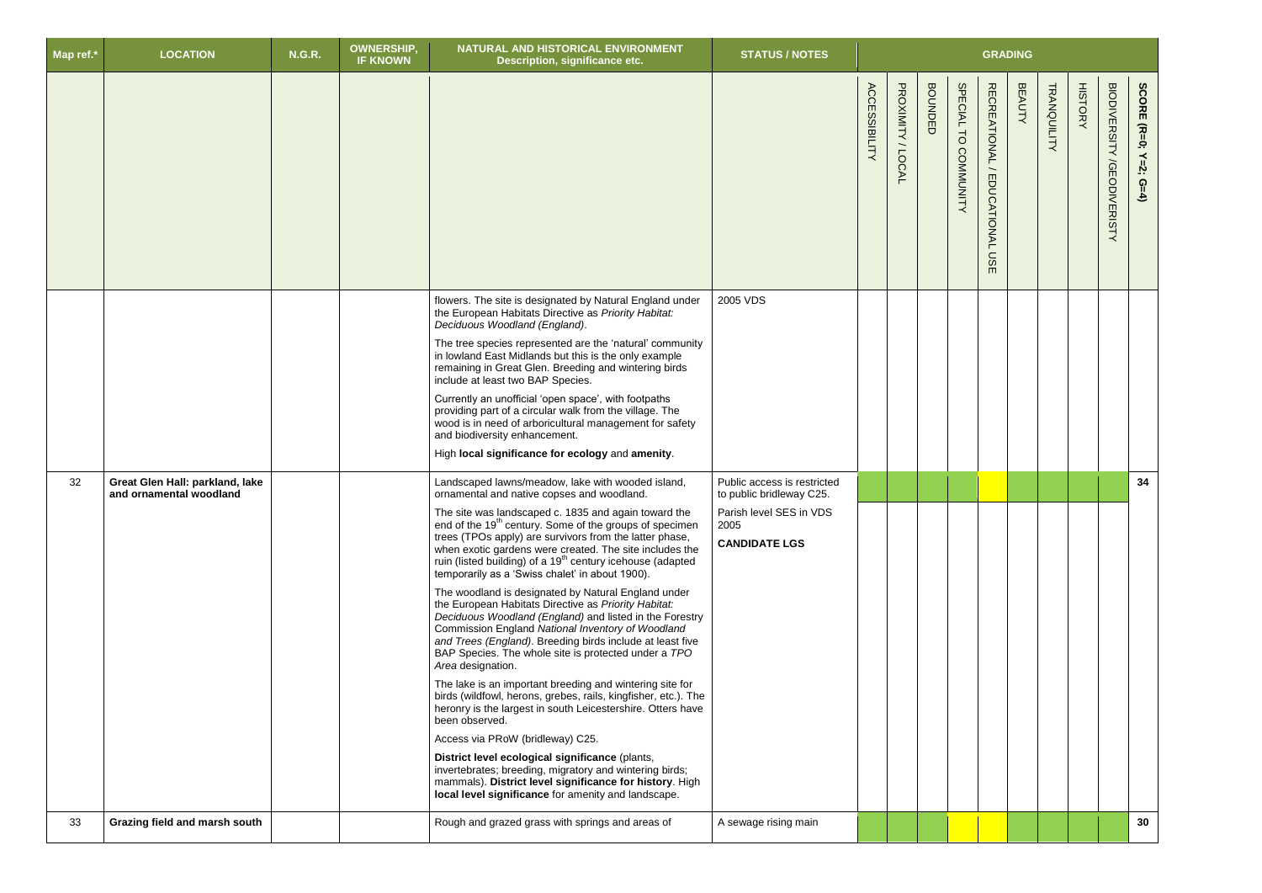| Map ref.* | <b>LOCATION</b>                                            | <b>N.G.R.</b> | <b>OWNERSHIP,</b><br><b>IF KNOWN</b> | NATURAL AND HISTORICAL ENVIRONMENT<br>Description, significance etc.                                                                                                                                                                                                                                                                                                                                                                                                                                                                                                                                                                                                                                                                                                                                                                                                                                                                                                                                                                                                                                                                                                                                                                                                                                                                          | <b>STATUS / NOTES</b>                                                                                              |                      |                     |                         |                                |                                             | <b>GRADING</b> |             |                |                                      |                            |
|-----------|------------------------------------------------------------|---------------|--------------------------------------|-----------------------------------------------------------------------------------------------------------------------------------------------------------------------------------------------------------------------------------------------------------------------------------------------------------------------------------------------------------------------------------------------------------------------------------------------------------------------------------------------------------------------------------------------------------------------------------------------------------------------------------------------------------------------------------------------------------------------------------------------------------------------------------------------------------------------------------------------------------------------------------------------------------------------------------------------------------------------------------------------------------------------------------------------------------------------------------------------------------------------------------------------------------------------------------------------------------------------------------------------------------------------------------------------------------------------------------------------|--------------------------------------------------------------------------------------------------------------------|----------------------|---------------------|-------------------------|--------------------------------|---------------------------------------------|----------------|-------------|----------------|--------------------------------------|----------------------------|
|           |                                                            |               |                                      |                                                                                                                                                                                                                                                                                                                                                                                                                                                                                                                                                                                                                                                                                                                                                                                                                                                                                                                                                                                                                                                                                                                                                                                                                                                                                                                                               |                                                                                                                    | <b>ACCESSIBILITY</b> | PROXIMITY<br>/LOCAL | <b>BOUNDE</b><br>$\Box$ | <b>SPECIAL</b><br>TO COMMUNITY | RECREATIONAL /<br>EDUCATIONAL<br><b>USE</b> | <b>BEAUTY</b>  | TRANQUILITY | <b>HISTORY</b> | <b>BIODIVERSITY</b><br>/GEODIVERISTY | SCORE (R=0; Y=2;<br>$G=4)$ |
|           |                                                            |               |                                      | flowers. The site is designated by Natural England under<br>the European Habitats Directive as Priority Habitat:<br>Deciduous Woodland (England).<br>The tree species represented are the 'natural' community<br>in lowland East Midlands but this is the only example<br>remaining in Great Glen. Breeding and wintering birds<br>include at least two BAP Species.<br>Currently an unofficial 'open space', with footpaths<br>providing part of a circular walk from the village. The<br>wood is in need of arboricultural management for safety<br>and biodiversity enhancement.<br>High local significance for ecology and amenity.                                                                                                                                                                                                                                                                                                                                                                                                                                                                                                                                                                                                                                                                                                       | 2005 VDS                                                                                                           |                      |                     |                         |                                |                                             |                |             |                |                                      |                            |
| 32        | Great Glen Hall: parkland, lake<br>and ornamental woodland |               |                                      | Landscaped lawns/meadow, lake with wooded island,<br>ornamental and native copses and woodland.<br>The site was landscaped c. 1835 and again toward the<br>end of the 19 <sup>th</sup> century. Some of the groups of specimen<br>trees (TPOs apply) are survivors from the latter phase,<br>when exotic gardens were created. The site includes the<br>ruin (listed building) of a 19 <sup>th</sup> century icehouse (adapted<br>temporarily as a 'Swiss chalet' in about 1900).<br>The woodland is designated by Natural England under<br>the European Habitats Directive as Priority Habitat:<br>Deciduous Woodland (England) and listed in the Forestry<br>Commission England National Inventory of Woodland<br>and Trees (England). Breeding birds include at least five<br>BAP Species. The whole site is protected under a TPO<br>Area designation.<br>The lake is an important breeding and wintering site for<br>birds (wildfowl, herons, grebes, rails, kingfisher, etc.). The<br>heronry is the largest in south Leicestershire. Otters have<br>been observed.<br>Access via PRoW (bridleway) C25.<br>District level ecological significance (plants,<br>invertebrates; breeding, migratory and wintering birds;<br>mammals). District level significance for history. High<br>local level significance for amenity and landscape. | Public access is restricted<br>to public bridleway C25.<br>Parish level SES in VDS<br>2005<br><b>CANDIDATE LGS</b> |                      |                     |                         |                                |                                             |                |             |                |                                      | 34                         |
| 33        | Grazing field and marsh south                              |               |                                      | Rough and grazed grass with springs and areas of                                                                                                                                                                                                                                                                                                                                                                                                                                                                                                                                                                                                                                                                                                                                                                                                                                                                                                                                                                                                                                                                                                                                                                                                                                                                                              | A sewage rising main                                                                                               |                      |                     |                         |                                |                                             |                |             |                |                                      | 30                         |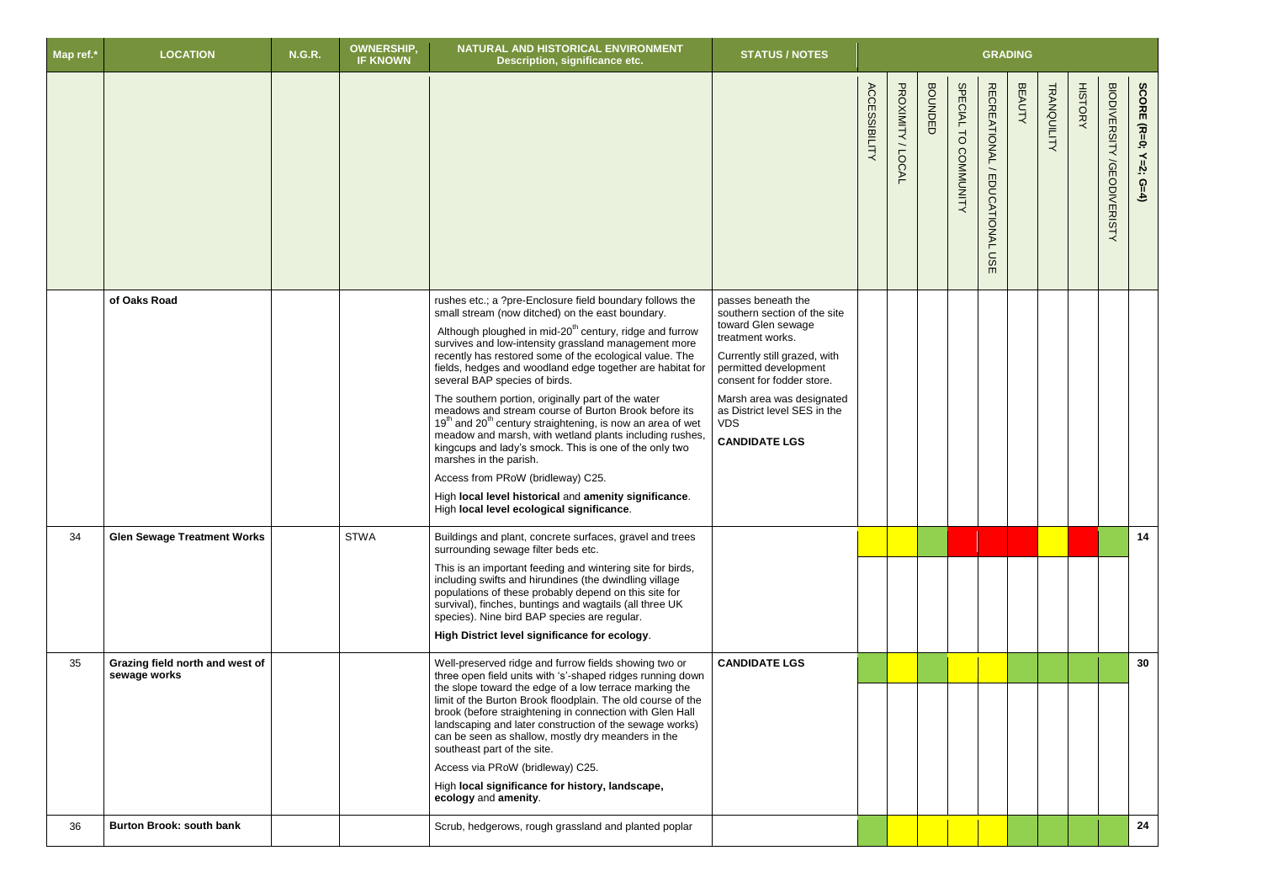| Map ref.* | <b>LOCATION</b>                                 | <b>N.G.R.</b> | OWNERSHIP,<br><b>IF KNOWN</b> | NATURAL AND HISTORICAL ENVIRONMENT<br>Description, significance etc.                                                                                                                                                                                                                                                                                                                                                                                                                                                                                                                                                                                                                                                                                                                                                                                                                              | <b>STATUS / NOTES</b>                                                                                                                                                                                                                                                                 |                      |                           |                |                                               | <b>GRADING</b>                                   |               |             |                |                                             |                                 |
|-----------|-------------------------------------------------|---------------|-------------------------------|---------------------------------------------------------------------------------------------------------------------------------------------------------------------------------------------------------------------------------------------------------------------------------------------------------------------------------------------------------------------------------------------------------------------------------------------------------------------------------------------------------------------------------------------------------------------------------------------------------------------------------------------------------------------------------------------------------------------------------------------------------------------------------------------------------------------------------------------------------------------------------------------------|---------------------------------------------------------------------------------------------------------------------------------------------------------------------------------------------------------------------------------------------------------------------------------------|----------------------|---------------------------|----------------|-----------------------------------------------|--------------------------------------------------|---------------|-------------|----------------|---------------------------------------------|---------------------------------|
|           |                                                 |               |                               |                                                                                                                                                                                                                                                                                                                                                                                                                                                                                                                                                                                                                                                                                                                                                                                                                                                                                                   |                                                                                                                                                                                                                                                                                       | <b>ACCESSIBILITY</b> | PROXIMITY<br><b>/LOCA</b> | <b>BOUNDED</b> | <b>SPECIAL</b><br>$\overline{C}$<br>COMMUNITY | <b>RECREATIONAL</b><br>EDUCATIONAL<br><b>USE</b> | <b>BEAUTY</b> | TRANQUILITY | <b>HISTORY</b> | <b>BIODIVERSITY</b><br><b>/GEODIVERISTY</b> | SCORE (R=0;<br>$Y=2;$<br>$G=4)$ |
|           | of Oaks Road                                    |               |                               | rushes etc.; a ?pre-Enclosure field boundary follows the<br>small stream (now ditched) on the east boundary.<br>Although ploughed in mid-20 <sup>th</sup> century, ridge and furrow<br>survives and low-intensity grassland management more<br>recently has restored some of the ecological value. The<br>fields, hedges and woodland edge together are habitat for<br>several BAP species of birds.<br>The southern portion, originally part of the water<br>meadows and stream course of Burton Brook before its<br>19 <sup>th</sup> and 20 <sup>th</sup> century straightening, is now an area of wet<br>meadow and marsh, with wetland plants including rushes<br>kingcups and lady's smock. This is one of the only two<br>marshes in the parish.<br>Access from PRoW (bridleway) C25.<br>High local level historical and amenity significance.<br>High local level ecological significance. | passes beneath the<br>southern section of the site<br>toward Glen sewage<br>treatment works.<br>Currently still grazed, with<br>permitted development<br>consent for fodder store.<br>Marsh area was designated<br>as District level SES in the<br><b>VDS</b><br><b>CANDIDATE LGS</b> |                      |                           |                |                                               |                                                  |               |             |                |                                             |                                 |
| 34        | <b>Glen Sewage Treatment Works</b>              |               | <b>STWA</b>                   | Buildings and plant, concrete surfaces, gravel and trees<br>surrounding sewage filter beds etc.<br>This is an important feeding and wintering site for birds,<br>including swifts and hirundines (the dwindling village<br>populations of these probably depend on this site for<br>survival), finches, buntings and wagtails (all three UK<br>species). Nine bird BAP species are regular.<br>High District level significance for ecology.                                                                                                                                                                                                                                                                                                                                                                                                                                                      |                                                                                                                                                                                                                                                                                       |                      |                           |                |                                               |                                                  |               |             |                |                                             | 14                              |
| 35        | Grazing field north and west of<br>sewage works |               |                               | Well-preserved ridge and furrow fields showing two or<br>three open field units with 's'-shaped ridges running down<br>the slope toward the edge of a low terrace marking the<br>limit of the Burton Brook floodplain. The old course of the<br>brook (before straightening in connection with Glen Hall<br>landscaping and later construction of the sewage works)<br>can be seen as shallow, mostly dry meanders in the<br>southeast part of the site.<br>Access via PRoW (bridleway) C25.<br>High local significance for history, landscape,<br>ecology and amenity.                                                                                                                                                                                                                                                                                                                           | <b>CANDIDATE LGS</b>                                                                                                                                                                                                                                                                  |                      |                           |                |                                               |                                                  |               |             |                |                                             | 30                              |
| 36        | <b>Burton Brook: south bank</b>                 |               |                               | Scrub, hedgerows, rough grassland and planted poplar                                                                                                                                                                                                                                                                                                                                                                                                                                                                                                                                                                                                                                                                                                                                                                                                                                              |                                                                                                                                                                                                                                                                                       |                      |                           |                |                                               |                                                  |               |             |                |                                             | 24                              |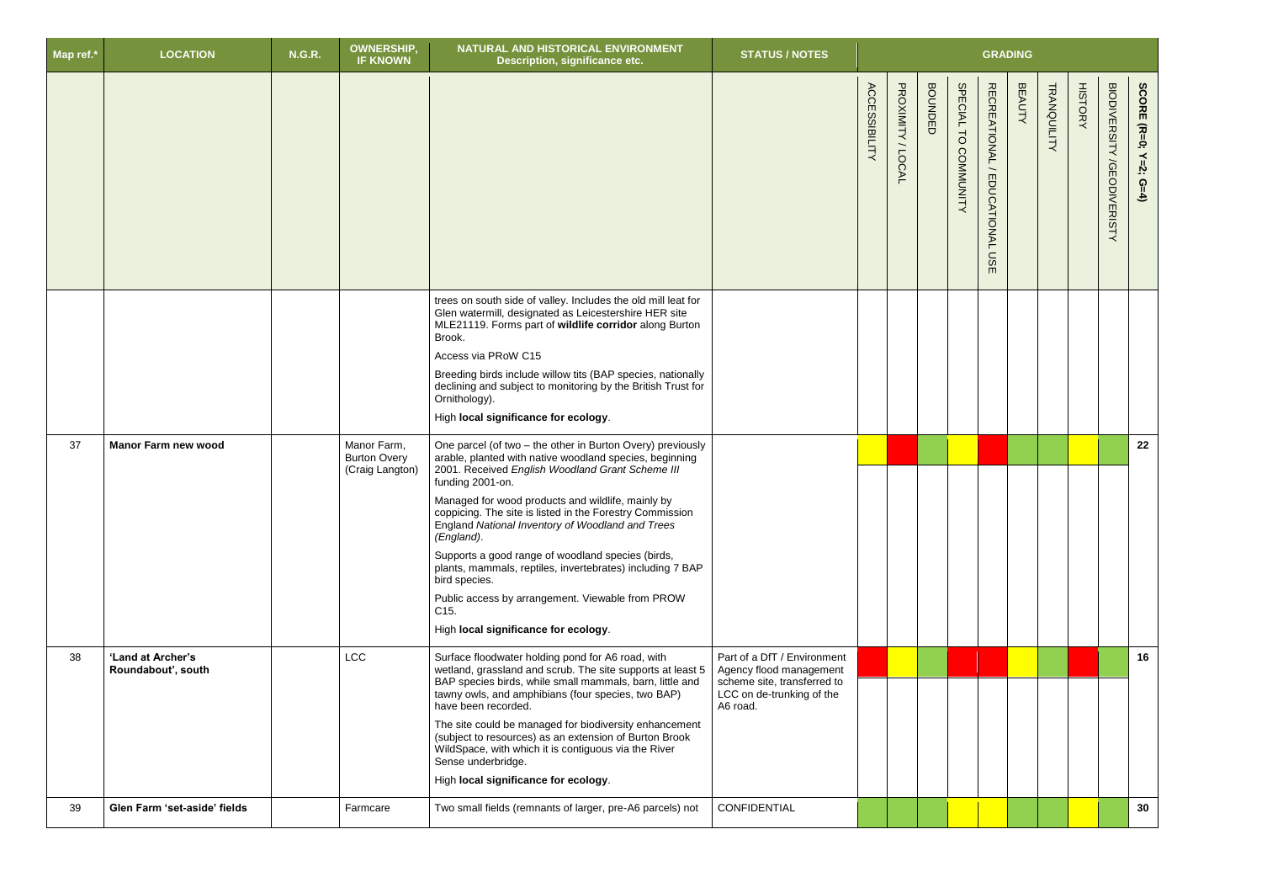| Map ref.* | <b>LOCATION</b>                         | <b>N.G.R.</b> | <b>OWNERSHIP,</b><br><b>IF KNOWN</b>                  | NATURAL AND HISTORICAL ENVIRONMENT<br>Description, significance etc.                                                                                                                                                                                                                                                                                                                                                                                                                                                                                                                                                                 | <b>STATUS / NOTES</b>                                                                                                          |                      |                     |                |                                | <b>GRADING</b>                                          |               |                    |                |                                      |                       |
|-----------|-----------------------------------------|---------------|-------------------------------------------------------|--------------------------------------------------------------------------------------------------------------------------------------------------------------------------------------------------------------------------------------------------------------------------------------------------------------------------------------------------------------------------------------------------------------------------------------------------------------------------------------------------------------------------------------------------------------------------------------------------------------------------------------|--------------------------------------------------------------------------------------------------------------------------------|----------------------|---------------------|----------------|--------------------------------|---------------------------------------------------------|---------------|--------------------|----------------|--------------------------------------|-----------------------|
|           |                                         |               |                                                       |                                                                                                                                                                                                                                                                                                                                                                                                                                                                                                                                                                                                                                      |                                                                                                                                | <b>ACCESSIBILITY</b> | PROXIMITY<br>/LOCAL | <b>BOUNDED</b> | SPECIAL TO<br><b>COMMUNITY</b> | <b>RECREATIONAL</b><br><b>EDUCATIONAL</b><br><b>DSE</b> | <b>BEAUTY</b> | <b>TRANQUILITY</b> | <b>HISTORY</b> | <b>BIODIVERSITY</b><br>/GEODIVERISTY | SCORE (R=0; Y=2; G=4) |
|           |                                         |               |                                                       | trees on south side of valley. Includes the old mill leat for<br>Glen watermill, designated as Leicestershire HER site<br>MLE21119. Forms part of wildlife corridor along Burton<br>Brook.<br>Access via PRoW C15<br>Breeding birds include willow tits (BAP species, nationally<br>declining and subject to monitoring by the British Trust for<br>Ornithology).<br>High local significance for ecology.                                                                                                                                                                                                                            |                                                                                                                                |                      |                     |                |                                |                                                         |               |                    |                |                                      |                       |
| 37        | <b>Manor Farm new wood</b>              |               | Manor Farm,<br><b>Burton Overy</b><br>(Craig Langton) | One parcel (of two - the other in Burton Overy) previously<br>arable, planted with native woodland species, beginning<br>2001. Received English Woodland Grant Scheme III<br>funding 2001-on.<br>Managed for wood products and wildlife, mainly by<br>coppicing. The site is listed in the Forestry Commission<br>England National Inventory of Woodland and Trees<br>(England).<br>Supports a good range of woodland species (birds,<br>plants, mammals, reptiles, invertebrates) including 7 BAP<br>bird species.<br>Public access by arrangement. Viewable from PROW<br>C <sub>15</sub> .<br>High local significance for ecology. |                                                                                                                                |                      |                     |                |                                |                                                         |               |                    |                |                                      | 22                    |
| 38        | 'Land at Archer's<br>Roundabout', south |               | <b>LCC</b>                                            | Surface floodwater holding pond for A6 road, with<br>wetland, grassland and scrub. The site supports at least 5<br>BAP species birds, while small mammals, barn, little and<br>tawny owls, and amphibians (four species, two BAP)<br>have been recorded.<br>The site could be managed for biodiversity enhancement<br>(subject to resources) as an extension of Burton Brook<br>WildSpace, with which it is contiguous via the River<br>Sense underbridge.<br>High local significance for ecology.                                                                                                                                   | Part of a DfT / Environment<br>Agency flood management<br>scheme site, transferred to<br>LCC on de-trunking of the<br>A6 road. |                      |                     |                |                                |                                                         |               |                    |                |                                      | 16                    |
| 39        | Glen Farm 'set-aside' fields            |               | Farmcare                                              | Two small fields (remnants of larger, pre-A6 parcels) not                                                                                                                                                                                                                                                                                                                                                                                                                                                                                                                                                                            | CONFIDENTIAL                                                                                                                   |                      |                     |                |                                |                                                         |               |                    |                |                                      | 30                    |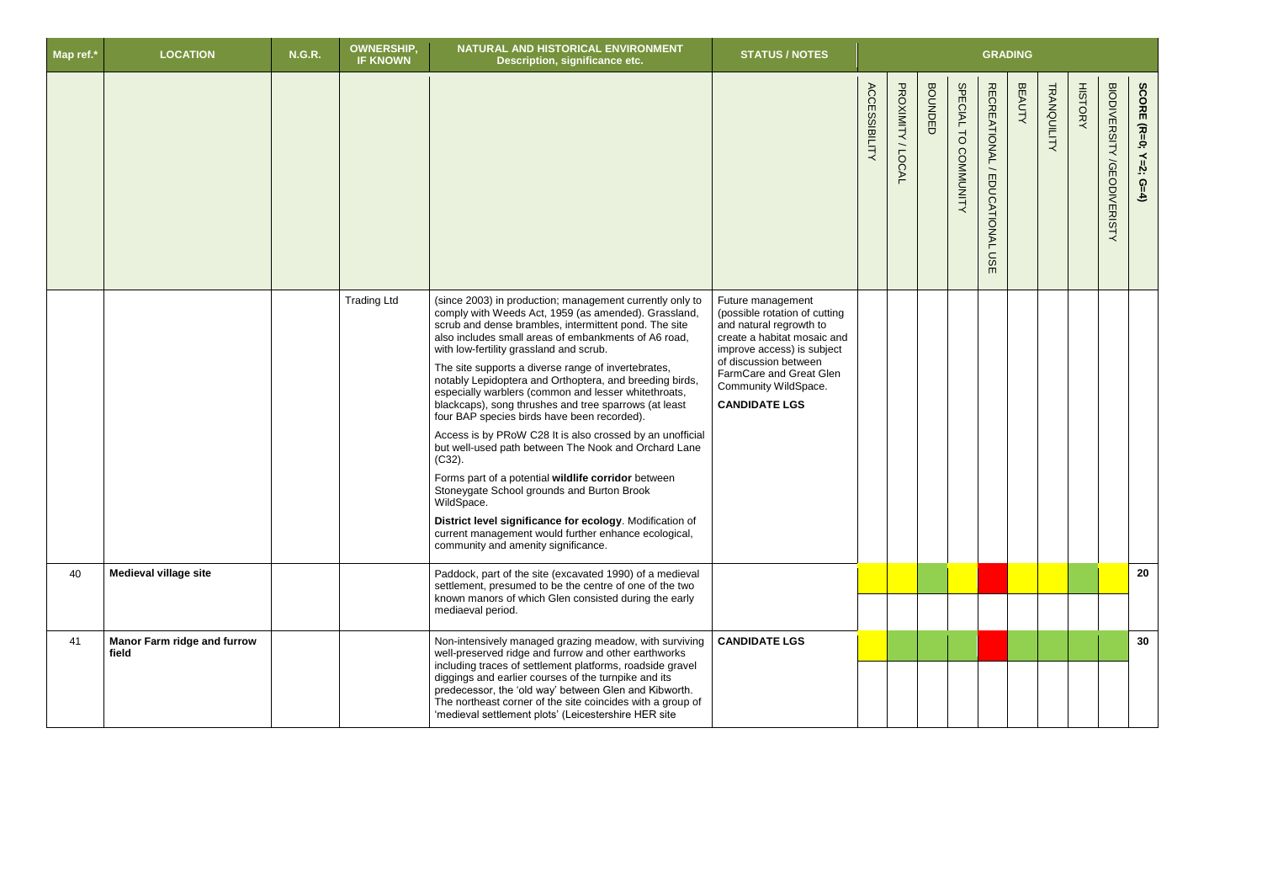| Map ref.* | <b>LOCATION</b>                             | <b>N.G.R.</b> | <b>OWNERSHIP</b><br><b>IF KNOWN</b> | NATURAL AND HISTORICAL ENVIRONMENT<br>Description, significance etc.                                                                                                                                                                                                                                                                                                                                                                                                                                                                                                                                                                                                                                                                                                                                                                                                                                                                                                           | <b>STATUS / NOTES</b>                                                                                                                                                                                                                          | <b>GRADING</b>       |                     |                |                      |                                            |               |                    |                |                                             |                       |
|-----------|---------------------------------------------|---------------|-------------------------------------|--------------------------------------------------------------------------------------------------------------------------------------------------------------------------------------------------------------------------------------------------------------------------------------------------------------------------------------------------------------------------------------------------------------------------------------------------------------------------------------------------------------------------------------------------------------------------------------------------------------------------------------------------------------------------------------------------------------------------------------------------------------------------------------------------------------------------------------------------------------------------------------------------------------------------------------------------------------------------------|------------------------------------------------------------------------------------------------------------------------------------------------------------------------------------------------------------------------------------------------|----------------------|---------------------|----------------|----------------------|--------------------------------------------|---------------|--------------------|----------------|---------------------------------------------|-----------------------|
|           |                                             |               |                                     |                                                                                                                                                                                                                                                                                                                                                                                                                                                                                                                                                                                                                                                                                                                                                                                                                                                                                                                                                                                |                                                                                                                                                                                                                                                | <b>ACCESSIBILITY</b> | PROXIMITY<br>/LOCAL | <b>BOUNDED</b> | SPECIAL TO COMMUNITY | RECREATIONAL/<br><b>EDUCATIONAL</b><br>USE | <b>BEAUTY</b> | <b>TRANQUILITY</b> | <b>HISTORY</b> | <b>BIODIVERSITY</b><br><b>/GEODIVERISTY</b> | SCORE (R=0; Y=2; G=4) |
|           |                                             |               | <b>Trading Ltd</b>                  | (since 2003) in production; management currently only to<br>comply with Weeds Act, 1959 (as amended). Grassland,<br>scrub and dense brambles, intermittent pond. The site<br>also includes small areas of embankments of A6 road,<br>with low-fertility grassland and scrub.<br>The site supports a diverse range of invertebrates,<br>notably Lepidoptera and Orthoptera, and breeding birds,<br>especially warblers (common and lesser whitethroats,<br>blackcaps), song thrushes and tree sparrows (at least<br>four BAP species birds have been recorded).<br>Access is by PRoW C28 It is also crossed by an unofficial<br>but well-used path between The Nook and Orchard Lane<br>$(C32)$ .<br>Forms part of a potential wildlife corridor between<br>Stoneygate School grounds and Burton Brook<br>WildSpace.<br>District level significance for ecology. Modification of<br>current management would further enhance ecological,<br>community and amenity significance. | Future management<br>(possible rotation of cutting<br>and natural regrowth to<br>create a habitat mosaic and<br>improve access) is subject<br>of discussion between<br>FarmCare and Great Glen<br>Community WildSpace.<br><b>CANDIDATE LGS</b> |                      |                     |                |                      |                                            |               |                    |                |                                             |                       |
| 40        | <b>Medieval village site</b>                |               |                                     | Paddock, part of the site (excavated 1990) of a medieval<br>settlement, presumed to be the centre of one of the two<br>known manors of which Glen consisted during the early<br>mediaeval period.                                                                                                                                                                                                                                                                                                                                                                                                                                                                                                                                                                                                                                                                                                                                                                              |                                                                                                                                                                                                                                                |                      |                     |                |                      |                                            |               |                    |                |                                             | 20                    |
| 41        | <b>Manor Farm ridge and furrow</b><br>field |               |                                     | Non-intensively managed grazing meadow, with surviving<br>well-preserved ridge and furrow and other earthworks<br>including traces of settlement platforms, roadside gravel<br>diggings and earlier courses of the turnpike and its<br>predecessor, the 'old way' between Glen and Kibworth.<br>The northeast corner of the site coincides with a group of<br>'medieval settlement plots' (Leicestershire HER site                                                                                                                                                                                                                                                                                                                                                                                                                                                                                                                                                             | <b>CANDIDATE LGS</b>                                                                                                                                                                                                                           |                      |                     |                |                      |                                            |               |                    |                |                                             | 30                    |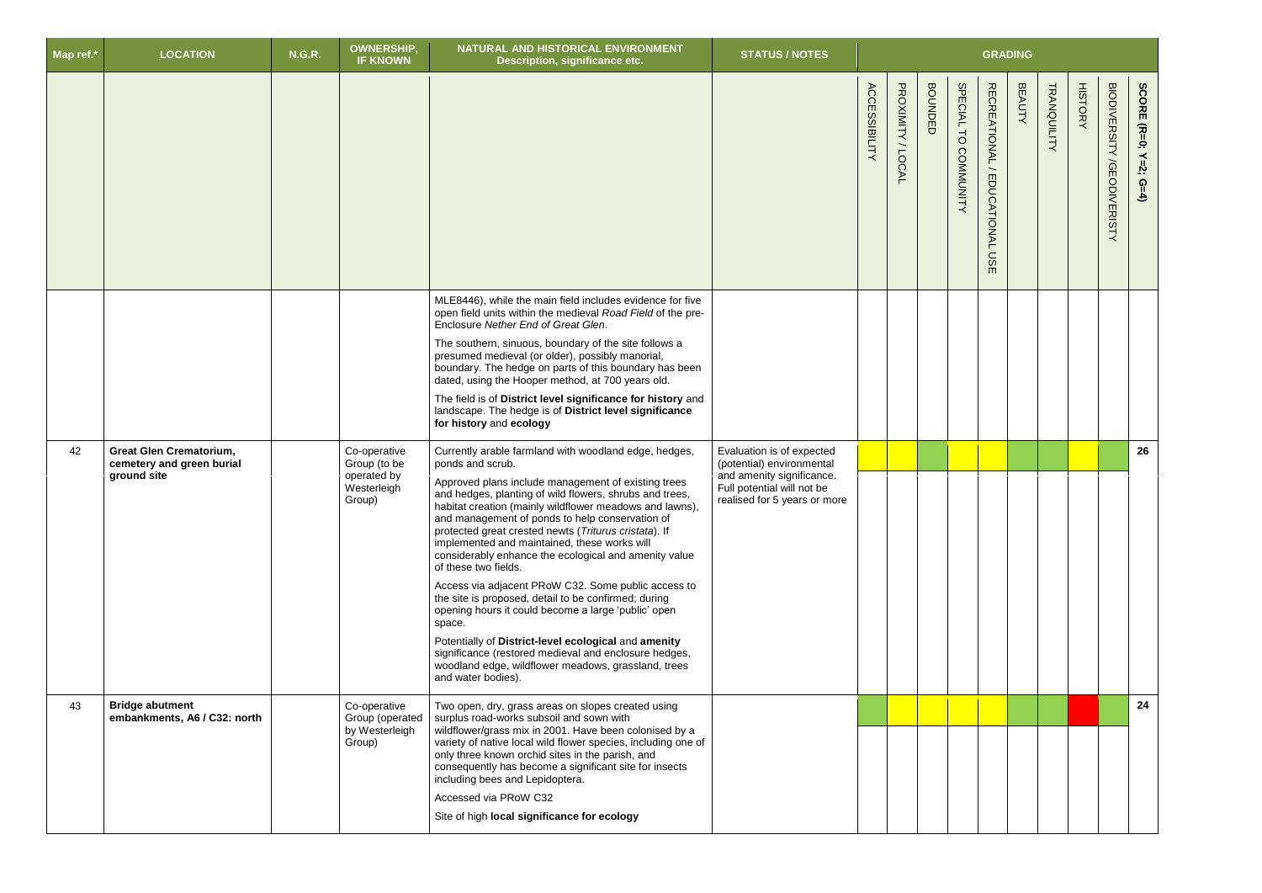| Map ref.* | <b>LOCATION</b>                                                            | <b>N.G.R.</b> | <b>OWNERSHIP,</b><br><b>IF KNOWN</b>                                 | NATURAL AND HISTORICAL ENVIRONMENT<br>Description, significance etc.                                                                                                                                                                                                                                                                                                                                                                                                                                                                                                                                                                                                                                                                                                                                                                                                              | <b>STATUS / NOTES</b>                                                                                                                             | <b>GRADING</b>       |                     |                |                                                      |                                               |               |             |                |                                             |                                       |
|-----------|----------------------------------------------------------------------------|---------------|----------------------------------------------------------------------|-----------------------------------------------------------------------------------------------------------------------------------------------------------------------------------------------------------------------------------------------------------------------------------------------------------------------------------------------------------------------------------------------------------------------------------------------------------------------------------------------------------------------------------------------------------------------------------------------------------------------------------------------------------------------------------------------------------------------------------------------------------------------------------------------------------------------------------------------------------------------------------|---------------------------------------------------------------------------------------------------------------------------------------------------|----------------------|---------------------|----------------|------------------------------------------------------|-----------------------------------------------|---------------|-------------|----------------|---------------------------------------------|---------------------------------------|
|           |                                                                            |               |                                                                      |                                                                                                                                                                                                                                                                                                                                                                                                                                                                                                                                                                                                                                                                                                                                                                                                                                                                                   |                                                                                                                                                   | <b>ACCESSIBILITY</b> | PROXIMITY<br>/LOCAL | <b>BOUNDED</b> | <b>SPECIAL</b><br>$\overline{C}$<br><b>COMMUNITY</b> | RECREATIONAL/<br><b>EDUCATIONAL</b><br>S<br>m | <b>BEAUTY</b> | TRANQUILITY | <b>HISTORY</b> | <b>BIODIVERSITY</b><br><b>/GEODIVERISTY</b> | SCORE<br>$(R=0;$<br>$Y=2$ ;<br>$G=4)$ |
|           |                                                                            |               |                                                                      | MLE8446), while the main field includes evidence for five<br>open field units within the medieval Road Field of the pre-<br>Enclosure Nether End of Great Glen.<br>The southern, sinuous, boundary of the site follows a<br>presumed medieval (or older), possibly manorial,<br>boundary. The hedge on parts of this boundary has been<br>dated, using the Hooper method, at 700 years old.<br>The field is of District level significance for history and<br>landscape. The hedge is of District level significance<br>for history and ecology                                                                                                                                                                                                                                                                                                                                   |                                                                                                                                                   |                      |                     |                |                                                      |                                               |               |             |                |                                             |                                       |
| 42        | <b>Great Glen Crematorium,</b><br>cemetery and green burial<br>ground site |               | Co-operative<br>Group (to be<br>operated by<br>Westerleigh<br>Group) | Currently arable farmland with woodland edge, hedges,<br>ponds and scrub.<br>Approved plans include management of existing trees<br>and hedges, planting of wild flowers, shrubs and trees,<br>habitat creation (mainly wildflower meadows and lawns),<br>and management of ponds to help conservation of<br>protected great crested newts (Triturus cristata). If<br>implemented and maintained, these works will<br>considerably enhance the ecological and amenity value<br>of these two fields.<br>Access via adjacent PRoW C32. Some public access to<br>the site is proposed, detail to be confirmed; during<br>opening hours it could become a large 'public' open<br>space.<br>Potentially of District-level ecological and amenity<br>significance (restored medieval and enclosure hedges,<br>woodland edge, wildflower meadows, grassland, trees<br>and water bodies). | Evaluation is of expected<br>(potential) environmental<br>and amenity significance.<br>Full potential will not be<br>realised for 5 years or more |                      |                     |                |                                                      |                                               |               |             |                |                                             | 26                                    |
| 43        | <b>Bridge abutment</b><br>embankments, A6 / C32: north                     |               | Co-operative<br>Group (operated<br>by Westerleigh<br>Group)          | Two open, dry, grass areas on slopes created using<br>surplus road-works subsoil and sown with<br>wildflower/grass mix in 2001. Have been colonised by a<br>variety of native local wild flower species, including one of<br>only three known orchid sites in the parish, and<br>consequently has become a significant site for insects<br>including bees and Lepidoptera.<br>Accessed via PRoW C32<br>Site of high local significance for ecology                                                                                                                                                                                                                                                                                                                                                                                                                                |                                                                                                                                                   |                      |                     |                |                                                      |                                               |               |             |                |                                             | 24                                    |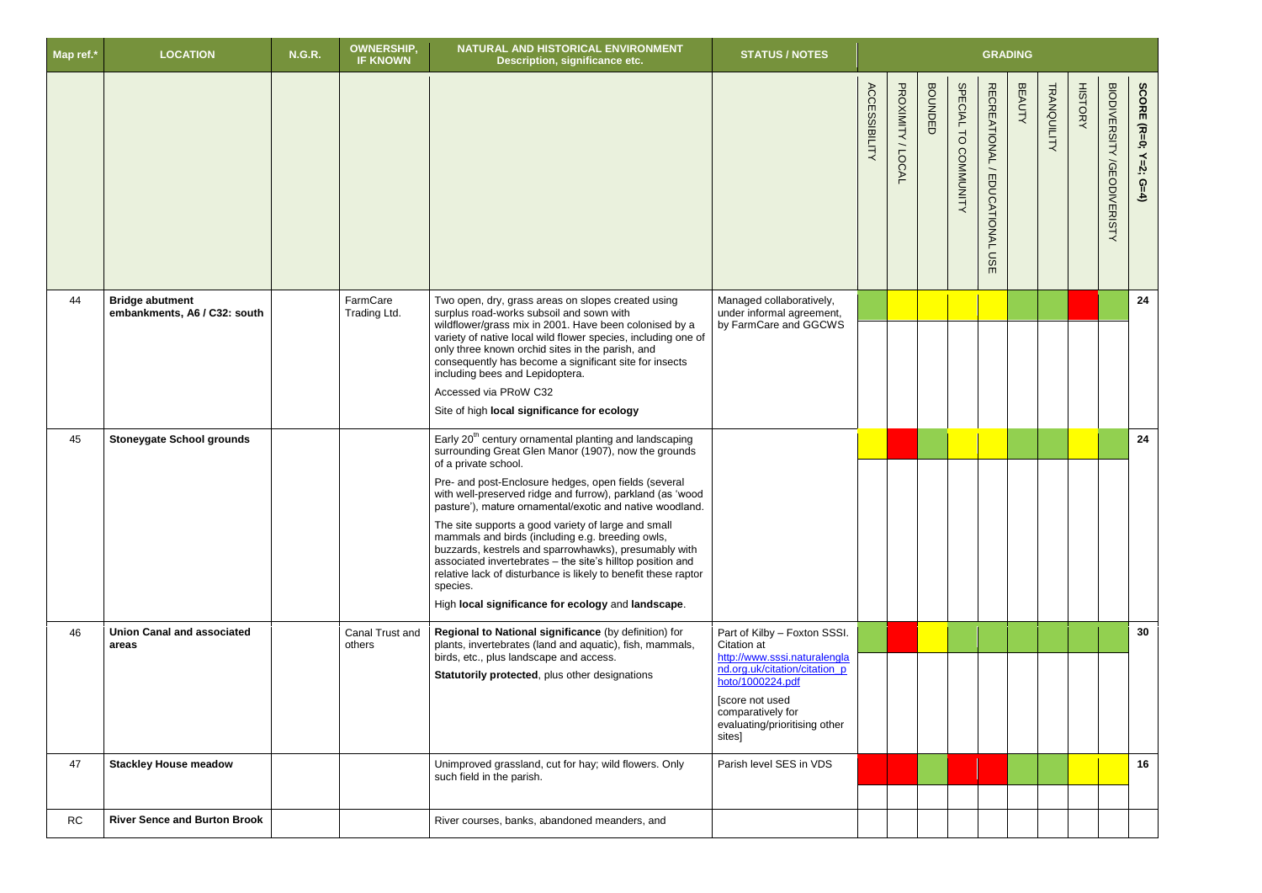| Map ref.* | <b>LOCATION</b>                                        | <b>N.G.R.</b> | <b>OWNERSHIP,</b><br><b>IF KNOWN</b> | NATURAL AND HISTORICAL ENVIRONMENT<br>Description, significance etc.                                                                                                                                                                                                                                                                                                                                                                                                                                                                                | <b>STATUS / NOTES</b>                                                                                                                                                                                     | <b>GRADING</b>       |                     |                         |                                |                                                         |               |                    |                |                                   |                            |
|-----------|--------------------------------------------------------|---------------|--------------------------------------|-----------------------------------------------------------------------------------------------------------------------------------------------------------------------------------------------------------------------------------------------------------------------------------------------------------------------------------------------------------------------------------------------------------------------------------------------------------------------------------------------------------------------------------------------------|-----------------------------------------------------------------------------------------------------------------------------------------------------------------------------------------------------------|----------------------|---------------------|-------------------------|--------------------------------|---------------------------------------------------------|---------------|--------------------|----------------|-----------------------------------|----------------------------|
|           |                                                        |               |                                      |                                                                                                                                                                                                                                                                                                                                                                                                                                                                                                                                                     |                                                                                                                                                                                                           | <b>ACCESSIBILITY</b> | PROXIMITY<br>/LOCAL | <b>BOUNDE</b><br>$\Box$ | <b>SPECIAL</b><br>TO COMMUNITY | <b>RECREATIONAL</b><br><b>EDUCATIONAL</b><br><b>DSE</b> | <b>BEAUTY</b> | <b>TRANQUILITY</b> | <b>HISTORY</b> | <b>BIODIVERSITY /GEODIVERISTY</b> | SCORE (R=0; Y=2;<br>$G=4)$ |
| 44        | <b>Bridge abutment</b><br>embankments, A6 / C32: south |               | FarmCare<br>Trading Ltd.             | Two open, dry, grass areas on slopes created using<br>surplus road-works subsoil and sown with                                                                                                                                                                                                                                                                                                                                                                                                                                                      | Managed collaboratively,<br>under informal agreement,                                                                                                                                                     |                      |                     |                         |                                |                                                         |               |                    |                |                                   | 24                         |
|           |                                                        |               |                                      | wildflower/grass mix in 2001. Have been colonised by a<br>variety of native local wild flower species, including one of<br>only three known orchid sites in the parish, and<br>consequently has become a significant site for insects<br>including bees and Lepidoptera.<br>Accessed via PRoW C32<br>Site of high local significance for ecology                                                                                                                                                                                                    | by FarmCare and GGCWS                                                                                                                                                                                     |                      |                     |                         |                                |                                                         |               |                    |                |                                   |                            |
| 45        | <b>Stoneygate School grounds</b>                       |               |                                      | Early 20 <sup>th</sup> century ornamental planting and landscaping<br>surrounding Great Glen Manor (1907), now the grounds<br>of a private school.                                                                                                                                                                                                                                                                                                                                                                                                  |                                                                                                                                                                                                           |                      |                     |                         |                                |                                                         |               |                    |                |                                   | 24                         |
|           |                                                        |               |                                      | Pre- and post-Enclosure hedges, open fields (several<br>with well-preserved ridge and furrow), parkland (as 'wood<br>pasture'), mature ornamental/exotic and native woodland.<br>The site supports a good variety of large and small<br>mammals and birds (including e.g. breeding owls,<br>buzzards, kestrels and sparrowhawks), presumably with<br>associated invertebrates - the site's hilltop position and<br>relative lack of disturbance is likely to benefit these raptor<br>species.<br>High local significance for ecology and landscape. |                                                                                                                                                                                                           |                      |                     |                         |                                |                                                         |               |                    |                |                                   |                            |
| 46        | <b>Union Canal and associated</b><br>areas             |               | Canal Trust and<br>others            | Regional to National significance (by definition) for<br>plants, invertebrates (land and aquatic), fish, mammals,<br>birds, etc., plus landscape and access.<br>Statutorily protected, plus other designations                                                                                                                                                                                                                                                                                                                                      | Part of Kilby - Foxton SSSI.<br>Citation at<br>http://www.sssi.naturalengla<br>nd.org.uk/citation/citation_p<br>hoto/1000224.pdf<br>[score not used<br>comparatively for<br>evaluating/prioritising other |                      |                     |                         |                                |                                                         |               |                    |                |                                   | 30                         |
| 47        | <b>Stackley House meadow</b>                           |               |                                      | Unimproved grassland, cut for hay; wild flowers. Only                                                                                                                                                                                                                                                                                                                                                                                                                                                                                               | sites]<br>Parish level SES in VDS                                                                                                                                                                         |                      |                     |                         |                                |                                                         |               |                    |                |                                   | 16                         |
|           |                                                        |               |                                      | such field in the parish.                                                                                                                                                                                                                                                                                                                                                                                                                                                                                                                           |                                                                                                                                                                                                           |                      |                     |                         |                                |                                                         |               |                    |                |                                   |                            |
| <b>RC</b> | <b>River Sence and Burton Brook</b>                    |               |                                      | River courses, banks, abandoned meanders, and                                                                                                                                                                                                                                                                                                                                                                                                                                                                                                       |                                                                                                                                                                                                           |                      |                     |                         |                                |                                                         |               |                    |                |                                   |                            |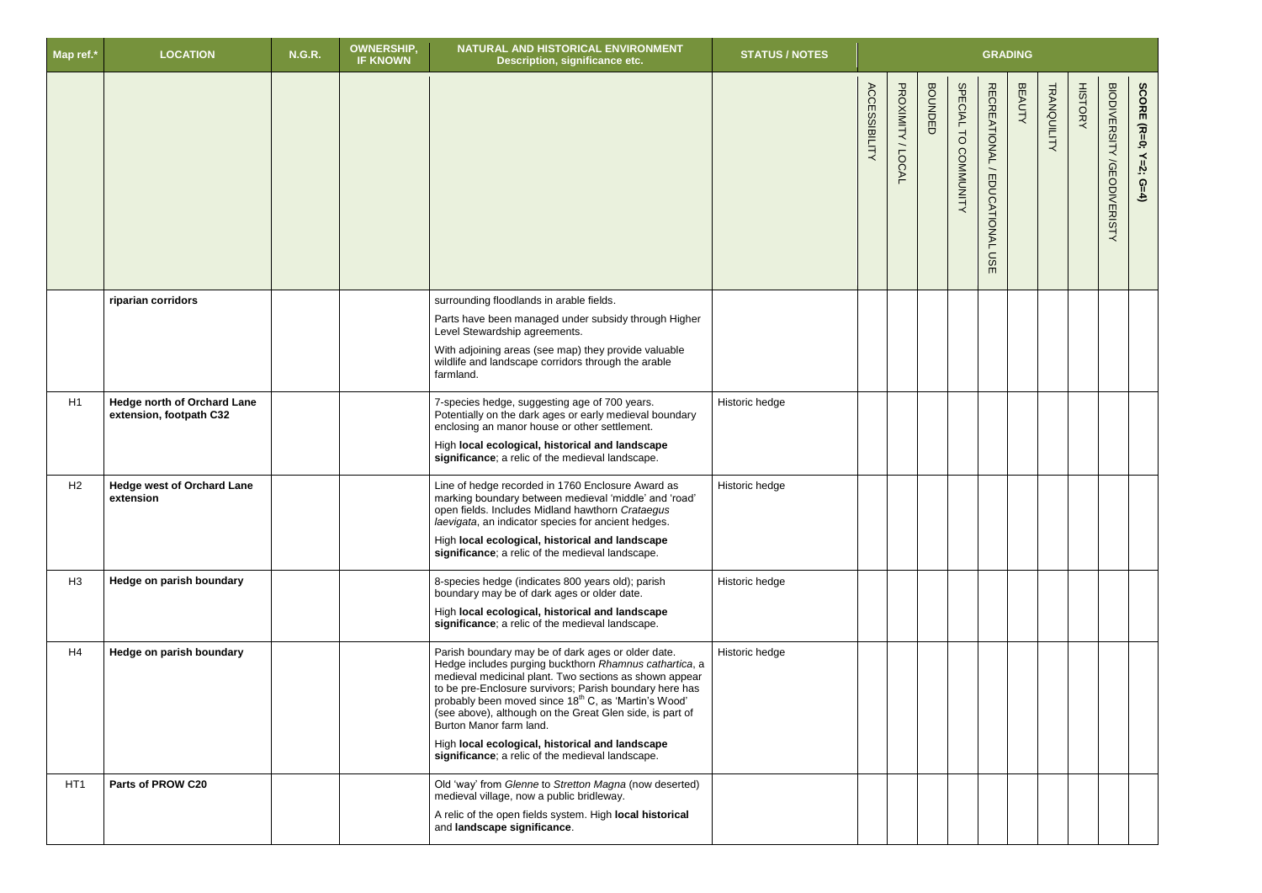| Map ref.*       | <b>LOCATION</b>                                               | <b>N.G.R.</b> | <b>OWNERSHIP,</b><br><b>IF KNOWN</b> | NATURAL AND HISTORICAL ENVIRONMENT<br>Description, significance etc.                                                                                                                                                                                                                                                                                                                                                                                                                                | <b>STATUS / NOTES</b> | <b>GRADING</b>       |                     |                |                                |                                           |               |                    |                |                                                                           |
|-----------------|---------------------------------------------------------------|---------------|--------------------------------------|-----------------------------------------------------------------------------------------------------------------------------------------------------------------------------------------------------------------------------------------------------------------------------------------------------------------------------------------------------------------------------------------------------------------------------------------------------------------------------------------------------|-----------------------|----------------------|---------------------|----------------|--------------------------------|-------------------------------------------|---------------|--------------------|----------------|---------------------------------------------------------------------------|
|                 |                                                               |               |                                      |                                                                                                                                                                                                                                                                                                                                                                                                                                                                                                     |                       | <b>ACCESSIBILITY</b> | PROXIMITY<br>/LOCAL | <b>BOUNDED</b> | SPECIAL TO<br><b>COMMUNITY</b> | <b>RECREATIONAL</b><br>EDUCATIONAL<br>msE | <b>BEAUTY</b> | <b>TRANQUILITY</b> | <b>HISTORY</b> | <b>BIODIVERSITY</b><br>SCORE (R=0; Y=2;<br><b>/GEODIVERISTY</b><br>$G=4)$ |
|                 | riparian corridors                                            |               |                                      | surrounding floodlands in arable fields.<br>Parts have been managed under subsidy through Higher<br>Level Stewardship agreements.<br>With adjoining areas (see map) they provide valuable<br>wildlife and landscape corridors through the arable<br>farmland.                                                                                                                                                                                                                                       |                       |                      |                     |                |                                |                                           |               |                    |                |                                                                           |
| H1              | <b>Hedge north of Orchard Lane</b><br>extension, footpath C32 |               |                                      | 7-species hedge, suggesting age of 700 years.<br>Potentially on the dark ages or early medieval boundary<br>enclosing an manor house or other settlement.<br>High local ecological, historical and landscape<br>significance; a relic of the medieval landscape.                                                                                                                                                                                                                                    | Historic hedge        |                      |                     |                |                                |                                           |               |                    |                |                                                                           |
| H <sub>2</sub>  | <b>Hedge west of Orchard Lane</b><br>extension                |               |                                      | Line of hedge recorded in 1760 Enclosure Award as<br>marking boundary between medieval 'middle' and 'road'<br>open fields. Includes Midland hawthorn Crataegus<br>laevigata, an indicator species for ancient hedges.<br>High local ecological, historical and landscape<br>significance; a relic of the medieval landscape.                                                                                                                                                                        | Historic hedge        |                      |                     |                |                                |                                           |               |                    |                |                                                                           |
| H <sub>3</sub>  | Hedge on parish boundary                                      |               |                                      | 8-species hedge (indicates 800 years old); parish<br>boundary may be of dark ages or older date.<br>High local ecological, historical and landscape<br>significance; a relic of the medieval landscape.                                                                                                                                                                                                                                                                                             | Historic hedge        |                      |                     |                |                                |                                           |               |                    |                |                                                                           |
| H4              | Hedge on parish boundary                                      |               |                                      | Parish boundary may be of dark ages or older date.<br>Hedge includes purging buckthorn Rhamnus cathartica, a<br>medieval medicinal plant. Two sections as shown appear<br>to be pre-Enclosure survivors; Parish boundary here has<br>probably been moved since 18 <sup>th</sup> C, as 'Martin's Wood'<br>(see above), although on the Great Glen side, is part of<br>Burton Manor farm land.<br>High local ecological, historical and landscape<br>significance; a relic of the medieval landscape. | Historic hedge        |                      |                     |                |                                |                                           |               |                    |                |                                                                           |
| HT <sub>1</sub> | Parts of PROW C20                                             |               |                                      | Old 'way' from Glenne to Stretton Magna (now deserted)<br>medieval village, now a public bridleway.<br>A relic of the open fields system. High local historical<br>and landscape significance.                                                                                                                                                                                                                                                                                                      |                       |                      |                     |                |                                |                                           |               |                    |                |                                                                           |